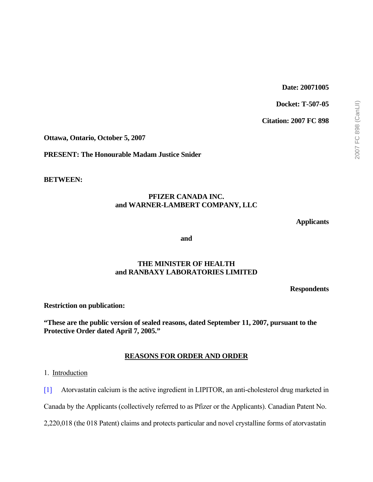# **Date: 20071005**

**Docket: T-507-05** 

**Citation: 2007 FC 898** 

**Ottawa, Ontario, October 5, 2007** 

**PRESENT: The Honourable Madam Justice Snider** 

**BETWEEN:** 

## **PFIZER CANADA INC. and WARNER-LAMBERT COMPANY, LLC**

**Applicants** 

**and** 

## **THE MINISTER OF HEALTH and RANBAXY LABORATORIES LIMITED**

**Respondents** 

**Restriction on publication:** 

**"These are the public version of sealed reasons, dated September 11, 2007, pursuant to the Protective Order dated April 7, 2005."** 

## **REASONS FOR ORDER AND ORDER**

1. Introduction

[1] Atorvastatin calcium is the active ingredient in LIPITOR, an anti-cholesterol drug marketed in

Canada by the Applicants (collectively referred to as Pfizer or the Applicants). Canadian Patent No.

2,220,018 (the 018 Patent) claims and protects particular and novel crystalline forms of atorvastatin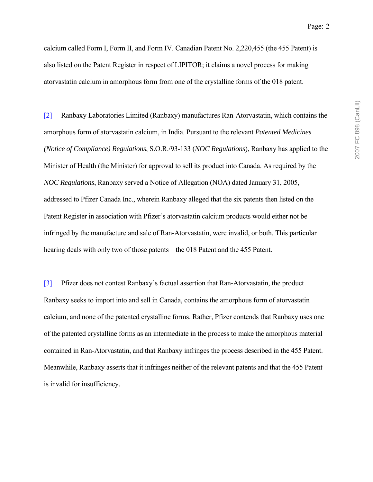calcium called Form I, Form II, and Form IV. Canadian Patent No. 2,220,455 (the 455 Patent) is also listed on the Patent Register in respect of LIPITOR; it claims a novel process for making atorvastatin calcium in amorphous form from one of the crystalline forms of the 018 patent.

[2] Ranbaxy Laboratories Limited (Ranbaxy) manufactures Ran-Atorvastatin, which contains the amorphous form of atorvastatin calcium, in India. Pursuant to the relevant *Patented Medicines (Notice of Compliance) Regulations*, S.O.R./93-133 (*NOC Regulations*), Ranbaxy has applied to the Minister of Health (the Minister) for approval to sell its product into Canada. As required by the *NOC Regulations*, Ranbaxy served a Notice of Allegation (NOA) dated January 31, 2005, addressed to Pfizer Canada Inc., wherein Ranbaxy alleged that the six patents then listed on the Patent Register in association with Pfizer's atorvastatin calcium products would either not be infringed by the manufacture and sale of Ran-Atorvastatin, were invalid, or both. This particular hearing deals with only two of those patents – the 018 Patent and the 455 Patent.

[3] Pfizer does not contest Ranbaxy's factual assertion that Ran-Atorvastatin, the product Ranbaxy seeks to import into and sell in Canada, contains the amorphous form of atorvastatin calcium, and none of the patented crystalline forms. Rather, Pfizer contends that Ranbaxy uses one of the patented crystalline forms as an intermediate in the process to make the amorphous material contained in Ran-Atorvastatin, and that Ranbaxy infringes the process described in the 455 Patent. Meanwhile, Ranbaxy asserts that it infringes neither of the relevant patents and that the 455 Patent is invalid for insufficiency.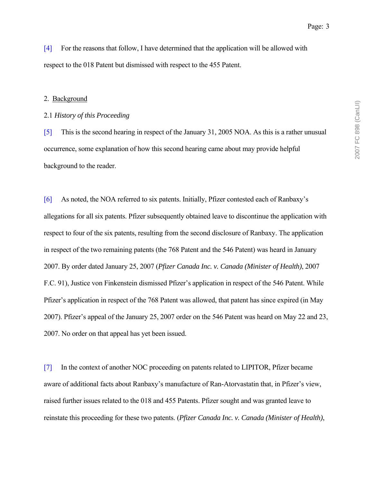[4] For the reasons that follow, I have determined that the application will be allowed with respect to the 018 Patent but dismissed with respect to the 455 Patent.

#### 2. Background

### 2.1 *History of this Proceeding*

[5] This is the second hearing in respect of the January 31, 2005 NOA. As this is a rather unusual occurrence, some explanation of how this second hearing came about may provide helpful background to the reader.

[6] As noted, the NOA referred to six patents. Initially, Pfizer contested each of Ranbaxy's allegations for all six patents. Pfizer subsequently obtained leave to discontinue the application with respect to four of the six patents, resulting from the second disclosure of Ranbaxy. The application in respect of the two remaining patents (the 768 Patent and the 546 Patent) was heard in January 2007. By order dated January 25, 2007 (*Pfizer Canada Inc. v. Canada (Minister of Health)*, 2007 F.C. 91), Justice von Finkenstein dismissed Pfizer's application in respect of the 546 Patent. While Pfizer's application in respect of the 768 Patent was allowed, that patent has since expired (in May 2007). Pfizer's appeal of the January 25, 2007 order on the 546 Patent was heard on May 22 and 23, 2007. No order on that appeal has yet been issued.

[7] In the context of another NOC proceeding on patents related to LIPITOR, Pfizer became aware of additional facts about Ranbaxy's manufacture of Ran-Atorvastatin that, in Pfizer's view, raised further issues related to the 018 and 455 Patents. Pfizer sought and was granted leave to reinstate this proceeding for these two patents. (*Pfizer Canada Inc. v. Canada (Minister of Health)*,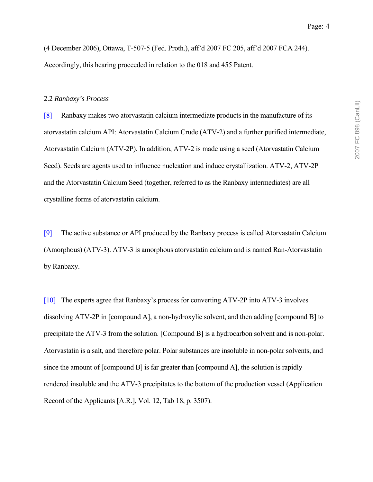(4 December 2006), Ottawa, T-507-5 (Fed. Proth.), affíd 2007 FC 205, affíd 2007 FCA 244). Accordingly, this hearing proceeded in relation to the 018 and 455 Patent.

#### 2.2 *Ranbaxy's Process*

[8] Ranbaxy makes two atorvastatin calcium intermediate products in the manufacture of its atorvastatin calcium API: Atorvastatin Calcium Crude (ATV-2) and a further purified intermediate, Atorvastatin Calcium (ATV-2P). In addition, ATV-2 is made using a seed (Atorvastatin Calcium Seed). Seeds are agents used to influence nucleation and induce crystallization. ATV-2, ATV-2P and the Atorvastatin Calcium Seed (together, referred to as the Ranbaxy intermediates) are all crystalline forms of atorvastatin calcium.

[9] The active substance or API produced by the Ranbaxy process is called Atorvastatin Calcium (Amorphous) (ATV-3). ATV-3 is amorphous atorvastatin calcium and is named Ran-Atorvastatin by Ranbaxy.

[10] The experts agree that Ranbaxyís process for converting ATV-2P into ATV-3 involves dissolving ATV-2P in [compound A], a non-hydroxylic solvent, and then adding [compound B] to precipitate the ATV-3 from the solution. [Compound B] is a hydrocarbon solvent and is non-polar. Atorvastatin is a salt, and therefore polar. Polar substances are insoluble in non-polar solvents, and since the amount of [compound B] is far greater than [compound A], the solution is rapidly rendered insoluble and the ATV-3 precipitates to the bottom of the production vessel (Application Record of the Applicants [A.R.], Vol. 12, Tab 18, p. 3507).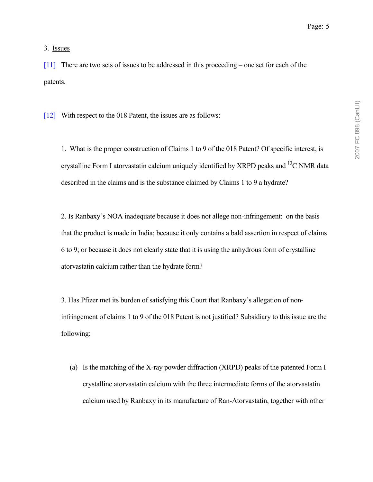3. Issues

[11] There are two sets of issues to be addressed in this proceeding – one set for each of the patents.

[12] With respect to the 018 Patent, the issues are as follows:

1. What is the proper construction of Claims 1 to 9 of the 018 Patent? Of specific interest, is crystalline Form I atorvastatin calcium uniquely identified by XRPD peaks and 13C NMR data described in the claims and is the substance claimed by Claims 1 to 9 a hydrate?

2. Is Ranbaxy's NOA inadequate because it does not allege non-infringement: on the basis that the product is made in India; because it only contains a bald assertion in respect of claims 6 to 9; or because it does not clearly state that it is using the anhydrous form of crystalline atorvastatin calcium rather than the hydrate form?

3. Has Pfizer met its burden of satisfying this Court that Ranbaxy's allegation of noninfringement of claims 1 to 9 of the 018 Patent is not justified? Subsidiary to this issue are the following:

(a) Is the matching of the X-ray powder diffraction (XRPD) peaks of the patented Form I crystalline atorvastatin calcium with the three intermediate forms of the atorvastatin calcium used by Ranbaxy in its manufacture of Ran-Atorvastatin, together with other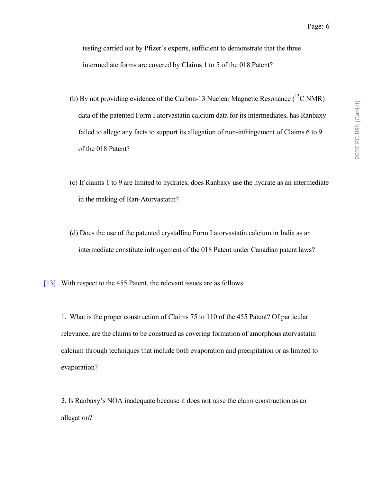testing carried out by Pfizer's experts, sufficient to demonstrate that the three intermediate forms are covered by Claims 1 to 5 of the 018 Patent?

- (b) By not providing evidence of the Carbon-13 Nuclear Magnetic Resonance ( ${}^{13}$ C NMR) data of the patented Form I atorvastatin calcium data for its intermediates, has Ranbaxy failed to allege any facts to support its allegation of non-infringement of Claims 6 to 9 of the 018 Patent?
- (c) If claims 1 to 9 are limited to hydrates, does Ranbaxy use the hydrate as an intermediate in the making of Ran-Atorvastatin?
- (d) Does the use of the patented crystalline Form I atorvastatin calcium in India as an intermediate constitute infringement of the 018 Patent under Canadian patent laws?
- [13] With respect to the 455 Patent, the relevant issues are as follows:

1. What is the proper construction of Claims 75 to 110 of the 455 Patent? Of particular relevance, are the claims to be construed as covering formation of amorphous atorvastatin calcium through techniques that include both evaporation and precipitation or as limited to evaporation?

2. Is Ranbaxyís NOA inadequate because it does not raise the claim construction as an allegation?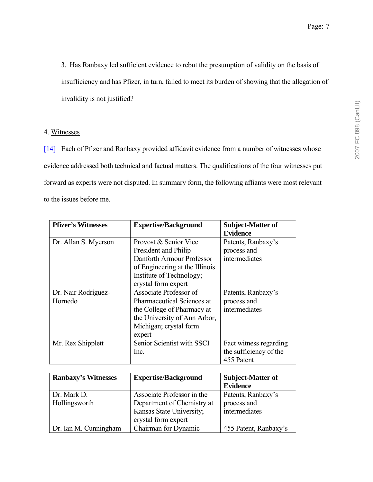3. Has Ranbaxy led sufficient evidence to rebut the presumption of validity on the basis of insufficiency and has Pfizer, in turn, failed to meet its burden of showing that the allegation of invalidity is not justified?

## 4. Witnesses

[14] Each of Pfizer and Ranbaxy provided affidavit evidence from a number of witnesses whose evidence addressed both technical and factual matters. The qualifications of the four witnesses put forward as experts were not disputed. In summary form, the following affiants were most relevant to the issues before me.

| <b>Pfizer's Witnesses</b>      | <b>Expertise/Background</b>                                                                                                                                     | <b>Subject-Matter of</b><br><b>Evidence</b>                    |
|--------------------------------|-----------------------------------------------------------------------------------------------------------------------------------------------------------------|----------------------------------------------------------------|
| Dr. Allan S. Myerson           | Provost & Senior Vice<br>President and Philip<br>Danforth Armour Professor<br>of Engineering at the Illinois<br>Institute of Technology;<br>crystal form expert | Patents, Ranbaxy's<br>process and<br>intermediates             |
| Dr. Nair Rodríguez-<br>Hornedo | Associate Professor of<br><b>Pharmaceutical Sciences at</b><br>the College of Pharmacy at<br>the University of Ann Arbor,<br>Michigan; crystal form<br>expert   | Patents, Ranbaxy's<br>process and<br>intermediates             |
| Mr. Rex Shipplett              | Senior Scientist with SSCI<br>Inc.                                                                                                                              | Fact witness regarding<br>the sufficiency of the<br>455 Patent |

| <b>Ranbaxy's Witnesses</b> | <b>Expertise/Background</b> | <b>Subject-Matter of</b><br><b>Evidence</b> |
|----------------------------|-----------------------------|---------------------------------------------|
| Dr. Mark D.                | Associate Professor in the  | Patents, Ranbaxy's                          |
| Hollingsworth              | Department of Chemistry at  | process and                                 |
|                            | Kansas State University;    | intermediates                               |
|                            | crystal form expert         |                                             |
| Dr. Ian M. Cunningham      | Chairman for Dynamic        | 455 Patent, Ranbaxy's                       |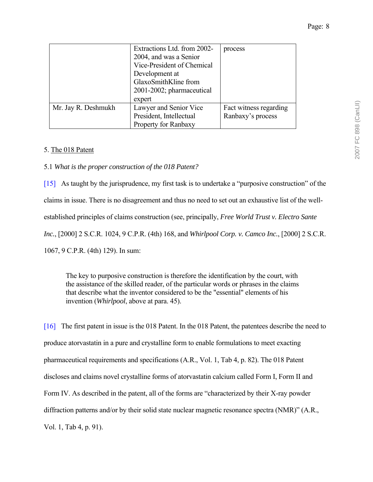|                     | Extractions Ltd. from 2002-<br>2004, and was a Senior<br>Vice-President of Chemical<br>Development at<br>GlaxoSmithKline from<br>2001-2002; pharmaceutical<br>expert | process                |
|---------------------|----------------------------------------------------------------------------------------------------------------------------------------------------------------------|------------------------|
| Mr. Jay R. Deshmukh | Lawyer and Senior Vice                                                                                                                                               | Fact witness regarding |
|                     | President, Intellectual                                                                                                                                              | Ranbaxy's process      |
|                     | Property for Ranbaxy                                                                                                                                                 |                        |

## 5. The 018 Patent

5.1 *What is the proper construction of the 018 Patent?* 

[15] As taught by the jurisprudence, my first task is to undertake a "purposive construction" of the claims in issue. There is no disagreement and thus no need to set out an exhaustive list of the wellestablished principles of claims construction (see, principally, *Free World Trust v. Electro Sante Inc.*, [2000] 2 S.C.R. 1024, 9 C.P.R. (4th) 168, and *Whirlpool Corp. v. Camco Inc.*, [2000] 2 S.C.R. 1067, 9 C.P.R. (4th) 129). In sum:

The key to purposive construction is therefore the identification by the court, with the assistance of the skilled reader, of the particular words or phrases in the claims that describe what the inventor considered to be the "essential" elements of his invention (*Whirlpool*, above at para. 45).

[16] The first patent in issue is the 018 Patent. In the 018 Patent, the patentees describe the need to produce atorvastatin in a pure and crystalline form to enable formulations to meet exacting pharmaceutical requirements and specifications (A.R., Vol. 1, Tab 4, p. 82). The 018 Patent discloses and claims novel crystalline forms of atorvastatin calcium called Form I, Form II and Form IV. As described in the patent, all of the forms are "characterized by their X-ray powder" diffraction patterns and/or by their solid state nuclear magnetic resonance spectra (NMR)"  $(A.R.,$ Vol. 1, Tab 4, p. 91).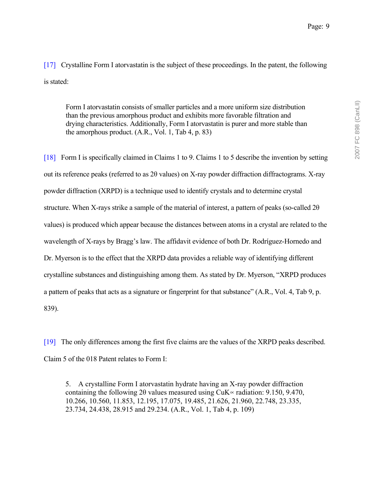[17] Crystalline Form I atorvastatin is the subject of these proceedings. In the patent, the following is stated:

Form I atorvastatin consists of smaller particles and a more uniform size distribution than the previous amorphous product and exhibits more favorable filtration and drying characteristics. Additionally, Form I atorvastatin is purer and more stable than the amorphous product. (A.R., Vol. 1, Tab 4, p. 83)

[18] Form I is specifically claimed in Claims 1 to 9. Claims 1 to 5 describe the invention by setting out its reference peaks (referred to as 2θ values) on X-ray powder diffraction diffractograms. X-ray powder diffraction (XRPD) is a technique used to identify crystals and to determine crystal structure. When X-rays strike a sample of the material of interest, a pattern of peaks (so-called 2θ values) is produced which appear because the distances between atoms in a crystal are related to the wavelength of X-rays by Bragg's law. The affidavit evidence of both Dr. Rodríguez-Hornedo and Dr. Myerson is to the effect that the XRPD data provides a reliable way of identifying different crystalline substances and distinguishing among them. As stated by Dr. Myerson, "XRPD produces" a pattern of peaks that acts as a signature or fingerprint for that substance" (A.R., Vol. 4, Tab 9, p. 839).

[19] The only differences among the first five claims are the values of the XRPD peaks described. Claim 5 of the 018 Patent relates to Form I:

5. A crystalline Form I atorvastatin hydrate having an X-ray powder diffraction containing the following 2 $\theta$  values measured using CuK $\propto$  radiation: 9.150, 9.470, 10.266, 10.560, 11.853, 12.195, 17.075, 19.485, 21.626, 21.960, 22.748, 23.335, 23.734, 24.438, 28.915 and 29.234. (A.R., Vol. 1, Tab 4, p. 109)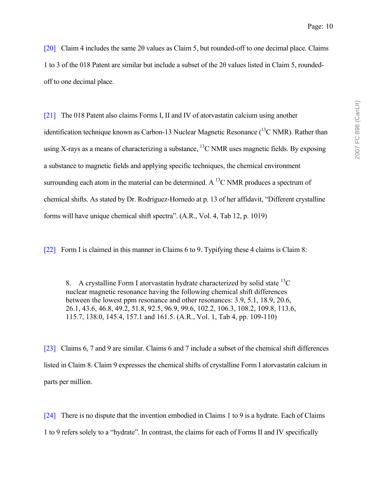[20] Claim 4 includes the same 2θ values as Claim 5, but rounded-off to one decimal place. Claims 1 to 3 of the 018 Patent are similar but include a subset of the 2θ values listed in Claim 5, roundedoff to one decimal place.

[21] The 018 Patent also claims Forms I, II and IV of atorvastatin calcium using another identification technique known as Carbon-13 Nuclear Magnetic Resonance  $(^{13}C$  NMR). Rather than using X-rays as a means of characterizing a substance,  ${}^{13}$ C NMR uses magnetic fields. By exposing a substance to magnetic fields and applying specific techniques, the chemical environment surrounding each atom in the material can be determined. A <sup>13</sup>C NMR produces a spectrum of chemical shifts. As stated by Dr. Rodríguez-Hornedo at p. 13 of her affidavit, "Different crystalline" forms will have unique chemical shift spectraî. (A.R., Vol. 4, Tab 12, p. 1019)

[22] Form I is claimed in this manner in Claims 6 to 9. Typifying these 4 claims is Claim 8:

8. A crystalline Form I atorvastatin hydrate characterized by solid state  ${}^{13}C$ nuclear magnetic resonance having the following chemical shift differences between the lowest ppm resonance and other resonances: 3.9, 5.1, 18.9, 20.6, 26.1, 43.6, 46.8, 49.2, 51.8, 92.5, 96.9, 99.6, 102.2, 106.3, 108.2, 109.8, 113.6, 115.7, 138.0, 145.4, 157.1 and 161.5. (A.R., Vol. 1, Tab 4, pp. 109-110)

[23] Claims 6, 7 and 9 are similar. Claims 6 and 7 include a subset of the chemical shift differences listed in Claim 8. Claim 9 expresses the chemical shifts of crystalline Form I atorvastatin calcium in parts per million.

[24] There is no dispute that the invention embodied in Claims 1 to 9 is a hydrate. Each of Claims 1 to 9 refers solely to a "hydrate". In contrast, the claims for each of Forms II and IV specifically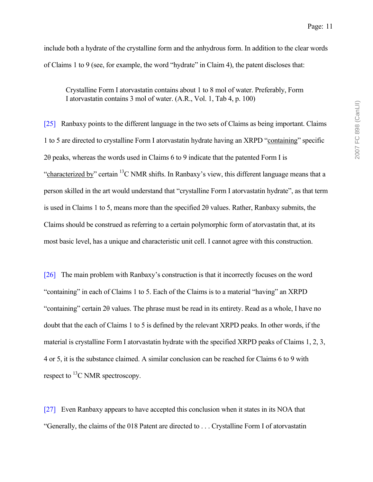include both a hydrate of the crystalline form and the anhydrous form. In addition to the clear words of Claims 1 to 9 (see, for example, the word "hydrate" in Claim 4), the patent discloses that:

Crystalline Form I atorvastatin contains about 1 to 8 mol of water. Preferably, Form I atorvastatin contains 3 mol of water. (A.R., Vol. 1, Tab 4, p. 100)

[25] Ranbaxy points to the different language in the two sets of Claims as being important. Claims 1 to 5 are directed to crystalline Form I atorvastatin hydrate having an XRPD "containing" specific 2θ peaks, whereas the words used in Claims 6 to 9 indicate that the patented Form I is "characterized by" certain  ${}^{13}C$  NMR shifts. In Ranbaxy's view, this different language means that a person skilled in the art would understand that "crystalline Form I atorvastatin hydrate", as that term is used in Claims 1 to 5, means more than the specified 2θ values. Rather, Ranbaxy submits, the Claims should be construed as referring to a certain polymorphic form of atorvastatin that, at its most basic level, has a unique and characteristic unit cell. I cannot agree with this construction.

[26] The main problem with Ranbaxy's construction is that it incorrectly focuses on the word "containing" in each of Claims 1 to 5. Each of the Claims is to a material "having" an XRPD  $\degree$  containing" certain 2θ values. The phrase must be read in its entirety. Read as a whole, I have no doubt that the each of Claims 1 to 5 is defined by the relevant XRPD peaks. In other words, if the material is crystalline Form I atorvastatin hydrate with the specified XRPD peaks of Claims 1, 2, 3, 4 or 5, it is the substance claimed. A similar conclusion can be reached for Claims 6 to 9 with respect to  ${}^{13}$ C NMR spectroscopy.

[27] Even Ranbaxy appears to have accepted this conclusion when it states in its NOA that ìGenerally, the claims of the 018 Patent are directed to . . . Crystalline Form I of atorvastatin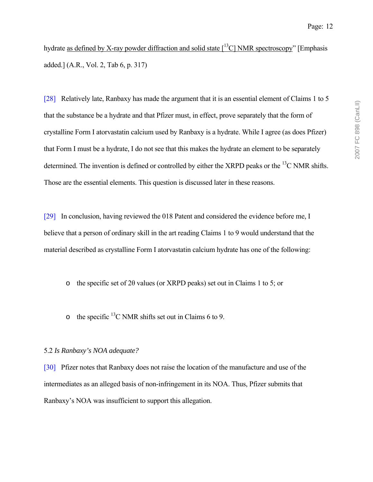hydrate as defined by X-ray powder diffraction and solid state  $\lceil^{13}C\rceil$  NMR spectroscopy" [Emphasis added.] (A.R., Vol. 2, Tab 6, p. 317)

[28] Relatively late, Ranbaxy has made the argument that it is an essential element of Claims 1 to 5 that the substance be a hydrate and that Pfizer must, in effect, prove separately that the form of crystalline Form I atorvastatin calcium used by Ranbaxy is a hydrate. While I agree (as does Pfizer) that Form I must be a hydrate, I do not see that this makes the hydrate an element to be separately determined. The invention is defined or controlled by either the XRPD peaks or the  $^{13}$ C NMR shifts. Those are the essential elements. This question is discussed later in these reasons.

[29] In conclusion, having reviewed the 018 Patent and considered the evidence before me, I believe that a person of ordinary skill in the art reading Claims 1 to 9 would understand that the material described as crystalline Form I atorvastatin calcium hydrate has one of the following:

o the specific set of 2θ values (or XRPD peaks) set out in Claims 1 to 5; or

o the specific  ${}^{13}$ C NMR shifts set out in Claims 6 to 9.

## 5.2 *Is Ranbaxy's NOA adequate?*

[30] Pfizer notes that Ranbaxy does not raise the location of the manufacture and use of the intermediates as an alleged basis of non-infringement in its NOA. Thus, Pfizer submits that Ranbaxy's NOA was insufficient to support this allegation.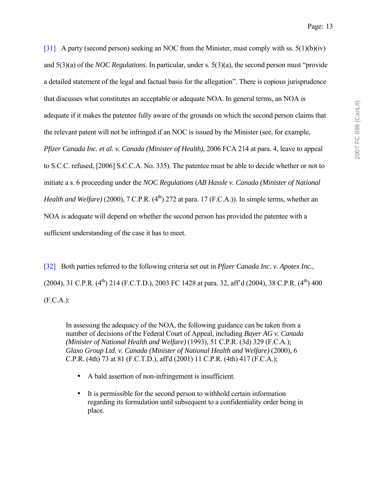[31] A party (second person) seeking an NOC from the Minister, must comply with ss.  $5(1)(b)(iv)$ and  $5(3)(a)$  of the *NOC Regulations*. In particular, under s.  $5(3)(a)$ , the second person must "provide" a detailed statement of the legal and factual basis for the allegationî. There is copious jurisprudence that discusses what constitutes an acceptable or adequate NOA. In general terms, an NOA is adequate if it makes the patentee fully aware of the grounds on which the second person claims that the relevant patent will not be infringed if an NOC is issued by the Minister (see, for example, *Pfizer Canada Inc. et al. v. Canada (Minister of Health)*, 2006 FCA 214 at para. 4, leave to appeal to S.C.C. refused, [2006] S.C.C.A. No. 335). The patentee must be able to decide whether or not to initiate a s. 6 proceeding under the *NOC Regulations* (*AB Hassle v. Canada (Minister of National Health and Welfare*) (2000),  $7 \text{ C.P.R.}$  ( $4^{\text{th}}$ ) 272 at para. 17 (F.C.A.)). In simple terms, whether an NOA is adequate will depend on whether the second person has provided the patentee with a sufficient understanding of the case it has to meet.

[32] Both parties referred to the following criteria set out in *Pfizer Canada Inc. v. Apotex Inc.*, (2004), 31 C.P.R.  $(4^{th})$  214 (F.C.T.D.), 2003 FC 1428 at para. 32, aff<sup>3</sup>d (2004), 38 C.P.R.  $(4^{th})$  400 (F.C.A.):

In assessing the adequacy of the NOA, the following guidance can be taken from a number of decisions of the Federal Court of Appeal, including *Bayer AG v. Canada (Minister of National Health and Welfare)* (1993), 51 C.P.R. (3d) 329 (F.C.A.); *Glaxo Group Ltd. v. Canada (Minister of National Health and Welfare)* (2000), 6 C.P.R. (4th) 73 at 81 (F.C.T.D.), aff'd (2001) 11 C.P.R. (4th) 417 (F.C.A.);

- A bald assertion of non-infringement is insufficient.
- It is permissible for the second person to withhold certain information regarding its formulation until subsequent to a confidentiality order being in place.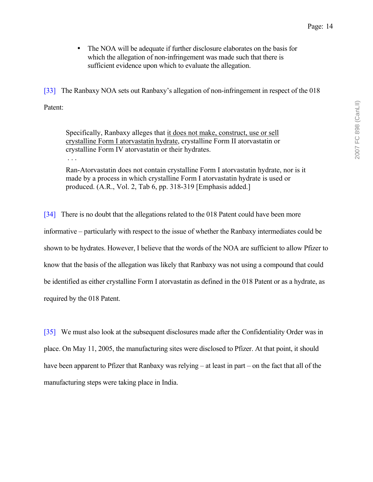• The NOA will be adequate if further disclosure elaborates on the basis for which the allegation of non-infringement was made such that there is sufficient evidence upon which to evaluate the allegation.

[33] The Ranbaxy NOA sets out Ranbaxy's allegation of non-infringement in respect of the 018 Patent:

Specifically, Ranbaxy alleges that it does not make, construct, use or sell crystalline Form I atorvastatin hydrate, crystalline Form II atorvastatin or crystalline Form IV atorvastatin or their hydrates.

. . .

Ran-Atorvastatin does not contain crystalline Form I atorvastatin hydrate, nor is it made by a process in which crystalline Form I atorvastatin hydrate is used or produced. (A.R., Vol. 2, Tab 6, pp. 318-319 [Emphasis added.]

[34] There is no doubt that the allegations related to the 018 Patent could have been more informative – particularly with respect to the issue of whether the Ranbaxy intermediates could be shown to be hydrates. However, I believe that the words of the NOA are sufficient to allow Pfizer to know that the basis of the allegation was likely that Ranbaxy was not using a compound that could be identified as either crystalline Form I atorvastatin as defined in the 018 Patent or as a hydrate, as required by the 018 Patent.

[35] We must also look at the subsequent disclosures made after the Confidentiality Order was in place. On May 11, 2005, the manufacturing sites were disclosed to Pfizer. At that point, it should have been apparent to Pfizer that Ranbaxy was relying  $-$  at least in part  $-$  on the fact that all of the manufacturing steps were taking place in India.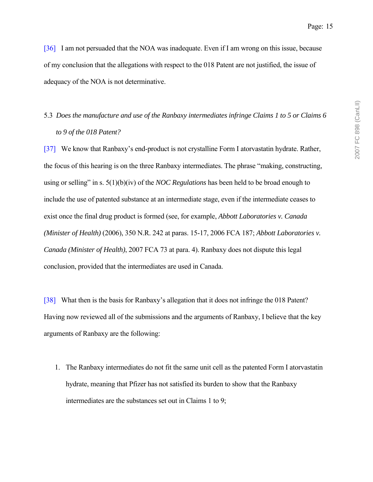[36] I am not persuaded that the NOA was inadequate. Even if I am wrong on this issue, because of my conclusion that the allegations with respect to the 018 Patent are not justified, the issue of adequacy of the NOA is not determinative.

# 5.3 *Does the manufacture and use of the Ranbaxy intermediates infringe Claims 1 to 5 or Claims 6 to 9 of the 018 Patent?*

[37] We know that Ranbaxy's end-product is not crystalline Form I atorvastatin hydrate. Rather, the focus of this hearing is on the three Ranbaxy intermediates. The phrase "making, constructing, using or selling" in s. 5(1)(b)(iv) of the *NOC Regulations* has been held to be broad enough to include the use of patented substance at an intermediate stage, even if the intermediate ceases to exist once the final drug product is formed (see, for example, *Abbott Laboratories v. Canada (Minister of Health)* (2006), 350 N.R. 242 at paras. 15-17, 2006 FCA 187; *Abbott Laboratories v. Canada (Minister of Health)*, 2007 FCA 73 at para. 4). Ranbaxy does not dispute this legal conclusion, provided that the intermediates are used in Canada.

[38] What then is the basis for Ranbaxy's allegation that it does not infringe the 018 Patent? Having now reviewed all of the submissions and the arguments of Ranbaxy, I believe that the key arguments of Ranbaxy are the following:

1. The Ranbaxy intermediates do not fit the same unit cell as the patented Form I atorvastatin hydrate, meaning that Pfizer has not satisfied its burden to show that the Ranbaxy intermediates are the substances set out in Claims 1 to 9;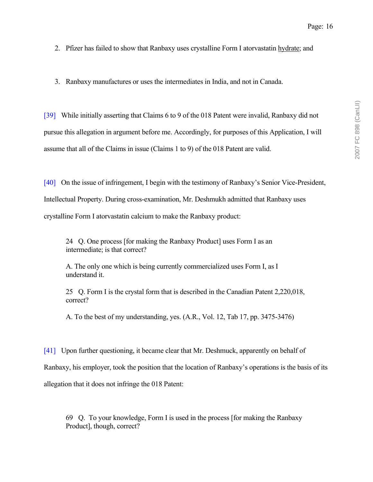- 2. Pfizer has failed to show that Ranbaxy uses crystalline Form I atorvastatin hydrate; and
- 3. Ranbaxy manufactures or uses the intermediates in India, and not in Canada.

[39] While initially asserting that Claims 6 to 9 of the 018 Patent were invalid, Ranbaxy did not pursue this allegation in argument before me. Accordingly, for purposes of this Application, I will assume that all of the Claims in issue (Claims 1 to 9) of the 018 Patent are valid.

[40] On the issue of infringement, I begin with the testimony of Ranbaxy's Senior Vice-President, Intellectual Property. During cross-examination, Mr. Deshmukh admitted that Ranbaxy uses crystalline Form I atorvastatin calcium to make the Ranbaxy product:

24 Q. One process [for making the Ranbaxy Product] uses Form I as an intermediate; is that correct?

A. The only one which is being currently commercialized uses Form I, as I understand it.

25 Q. Form I is the crystal form that is described in the Canadian Patent 2,220,018, correct?

A. To the best of my understanding, yes. (A.R., Vol. 12, Tab 17, pp. 3475-3476)

[41] Upon further questioning, it became clear that Mr. Deshmuck, apparently on behalf of

Ranbaxy, his employer, took the position that the location of Ranbaxy's operations is the basis of its

allegation that it does not infringe the 018 Patent:

69 Q. To your knowledge, Form I is used in the process [for making the Ranbaxy Product], though, correct?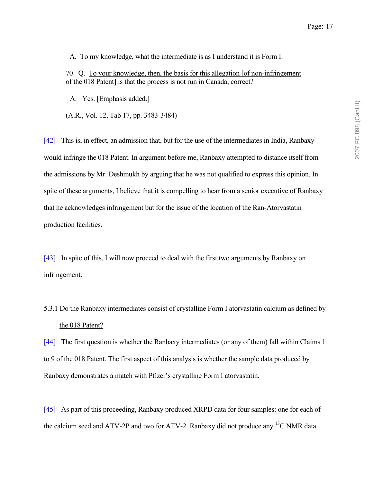A. To my knowledge, what the intermediate is as I understand it is Form I.

70 Q. To your knowledge, then, the basis for this allegation [of non-infringement of the 018 Patent] is that the process is not run in Canada, correct?

A. Yes. [Emphasis added.]

(A.R., Vol. 12, Tab 17, pp. 3483-3484)

[42] This is, in effect, an admission that, but for the use of the intermediates in India, Ranbaxy would infringe the 018 Patent. In argument before me, Ranbaxy attempted to distance itself from the admissions by Mr. Deshmukh by arguing that he was not qualified to express this opinion. In spite of these arguments, I believe that it is compelling to hear from a senior executive of Ranbaxy that he acknowledges infringement but for the issue of the location of the Ran-Atorvastatin production facilities.

[43] In spite of this, I will now proceed to deal with the first two arguments by Ranbaxy on infringement.

# 5.3.1 Do the Ranbaxy intermediates consist of crystalline Form I atorvastatin calcium as defined by the 018 Patent?

[44] The first question is whether the Ranbaxy intermediates (or any of them) fall within Claims 1 to 9 of the 018 Patent. The first aspect of this analysis is whether the sample data produced by Ranbaxy demonstrates a match with Pfizer's crystalline Form I atorvastatin.

[45] As part of this proceeding, Ranbaxy produced XRPD data for four samples: one for each of the calcium seed and ATV-2P and two for ATV-2. Ranbaxy did not produce any <sup>13</sup>C NMR data.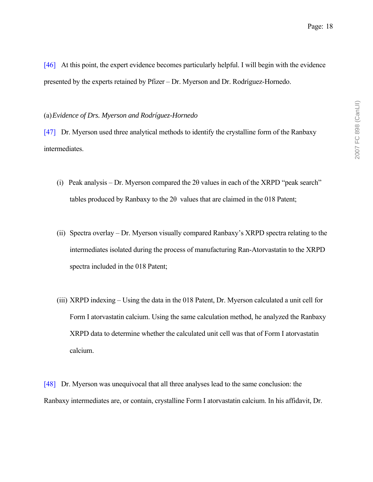[46] At this point, the expert evidence becomes particularly helpful. I will begin with the evidence presented by the experts retained by Pfizer – Dr. Myerson and Dr. Rodríguez-Hornedo.

#### (a)*Evidence of Drs. Myerson and Rodríguez-Hornedo*

[47] Dr. Myerson used three analytical methods to identify the crystalline form of the Ranbaxy intermediates.

- (i) Peak analysis Dr. Myerson compared the  $2\theta$  values in each of the XRPD "peak search" tables produced by Ranbaxy to the 2θ values that are claimed in the 018 Patent;
- (ii) Spectra overlay  $-$  Dr. Myerson visually compared Ranbaxy's XRPD spectra relating to the intermediates isolated during the process of manufacturing Ran-Atorvastatin to the XRPD spectra included in the 018 Patent;
- (iii) XRPD indexing  $-$  Using the data in the 018 Patent, Dr. Myerson calculated a unit cell for Form I atorvastatin calcium. Using the same calculation method, he analyzed the Ranbaxy XRPD data to determine whether the calculated unit cell was that of Form I atorvastatin calcium.

[48] Dr. Myerson was unequivocal that all three analyses lead to the same conclusion: the Ranbaxy intermediates are, or contain, crystalline Form I atorvastatin calcium. In his affidavit, Dr.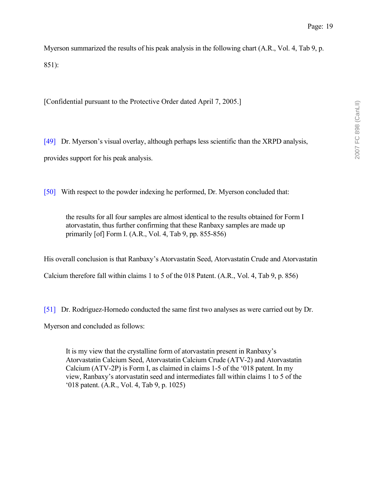Myerson summarized the results of his peak analysis in the following chart (A.R., Vol. 4, Tab 9, p. 851):

[Confidential pursuant to the Protective Order dated April 7, 2005.]

[49] Dr. Myerson's visual overlay, although perhaps less scientific than the XRPD analysis, provides support for his peak analysis.

[50] With respect to the powder indexing he performed, Dr. Myerson concluded that:

the results for all four samples are almost identical to the results obtained for Form I atorvastatin, thus further confirming that these Ranbaxy samples are made up primarily [of] Form I. (A.R., Vol. 4, Tab 9, pp. 855-856)

His overall conclusion is that Ranbaxy's Atorvastatin Seed, Atorvastatin Crude and Atorvastatin

Calcium therefore fall within claims 1 to 5 of the 018 Patent. (A.R., Vol. 4, Tab 9, p. 856)

[51] Dr. Rodríguez-Hornedo conducted the same first two analyses as were carried out by Dr.

Myerson and concluded as follows:

It is my view that the crystalline form of atory as the present in Ranbaxy's Atorvastatin Calcium Seed, Atorvastatin Calcium Crude (ATV-2) and Atorvastatin Calcium (ATV-2P) is Form I, as claimed in claims 1-5 of the '018 patent. In my view, Ranbaxyís atorvastatin seed and intermediates fall within claims 1 to 5 of the ë018 patent. (A.R., Vol. 4, Tab 9, p. 1025)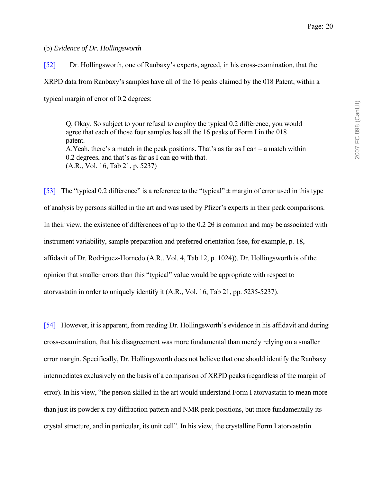### (b) *Evidence of Dr. Hollingsworth*

[52] Dr. Hollingsworth, one of Ranbaxyís experts, agreed, in his cross-examination, that the XRPD data from Ranbaxy's samples have all of the 16 peaks claimed by the 018 Patent, within a typical margin of error of 0.2 degrees:

Q. Okay. So subject to your refusal to employ the typical 0.2 difference, you would agree that each of those four samples has all the 16 peaks of Form I in the 018 patent. A.Yeah, there's a match in the peak positions. That's as far as  $I \text{ can } -a$  match within  $0.2$  degrees, and that's as far as I can go with that. (A.R., Vol. 16, Tab 21, p. 5237)

[53] The "typical 0.2 difference" is a reference to the "typical"  $\pm$  margin of error used in this type of analysis by persons skilled in the art and was used by Pfizer's experts in their peak comparisons. In their view, the existence of differences of up to the 0.2 2θ is common and may be associated with instrument variability, sample preparation and preferred orientation (see, for example, p. 18, affidavit of Dr. Rodríguez-Hornedo (A.R., Vol. 4, Tab 12, p. 1024)). Dr. Hollingsworth is of the opinion that smaller errors than this "typical" value would be appropriate with respect to atorvastatin in order to uniquely identify it (A.R., Vol. 16, Tab 21, pp. 5235-5237).

[54] However, it is apparent, from reading Dr. Hollingsworth's evidence in his affidavit and during cross-examination, that his disagreement was more fundamental than merely relying on a smaller error margin. Specifically, Dr. Hollingsworth does not believe that one should identify the Ranbaxy intermediates exclusively on the basis of a comparison of XRPD peaks (regardless of the margin of error). In his view, "the person skilled in the art would understand Form I atorvastatin to mean more than just its powder x-ray diffraction pattern and NMR peak positions, but more fundamentally its crystal structure, and in particular, its unit cell". In his view, the crystalline Form I atorvastatin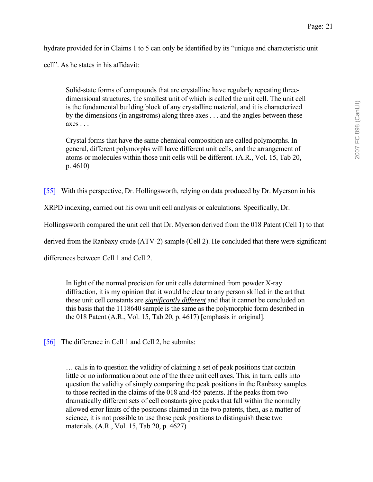hydrate provided for in Claims 1 to 5 can only be identified by its "unique and characteristic unit

cell". As he states in his affidavit:

Solid-state forms of compounds that are crystalline have regularly repeating threedimensional structures, the smallest unit of which is called the unit cell. The unit cell is the fundamental building block of any crystalline material, and it is characterized by the dimensions (in angstroms) along three axes . . . and the angles between these  $axes \dots$ 

Crystal forms that have the same chemical composition are called polymorphs. In general, different polymorphs will have different unit cells, and the arrangement of atoms or molecules within those unit cells will be different. (A.R., Vol. 15, Tab 20, p. 4610)

[55] With this perspective, Dr. Hollingsworth, relying on data produced by Dr. Myerson in his

XRPD indexing, carried out his own unit cell analysis or calculations. Specifically, Dr.

Hollingsworth compared the unit cell that Dr. Myerson derived from the 018 Patent (Cell 1) to that

derived from the Ranbaxy crude (ATV-2) sample (Cell 2). He concluded that there were significant

differences between Cell 1 and Cell 2.

In light of the normal precision for unit cells determined from powder X-ray diffraction, it is my opinion that it would be clear to any person skilled in the art that these unit cell constants are *significantly different* and that it cannot be concluded on this basis that the 1118640 sample is the same as the polymorphic form described in the 018 Patent (A.R., Vol. 15, Tab 20, p. 4617) [emphasis in original].

[56] The difference in Cell 1 and Cell 2, he submits:

 $\ldots$  calls in to question the validity of claiming a set of peak positions that contain little or no information about one of the three unit cell axes. This, in turn, calls into question the validity of simply comparing the peak positions in the Ranbaxy samples to those recited in the claims of the 018 and 455 patents. If the peaks from two dramatically different sets of cell constants give peaks that fall within the normally allowed error limits of the positions claimed in the two patents, then, as a matter of science, it is not possible to use those peak positions to distinguish these two materials. (A.R., Vol. 15, Tab 20, p. 4627)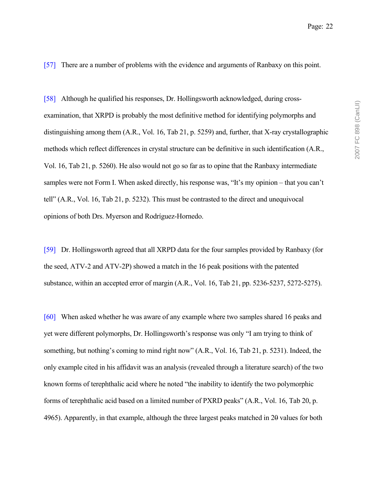[57] There are a number of problems with the evidence and arguments of Ranbaxy on this point.

[58] Although he qualified his responses, Dr. Hollingsworth acknowledged, during crossexamination, that XRPD is probably the most definitive method for identifying polymorphs and distinguishing among them (A.R., Vol. 16, Tab 21, p. 5259) and, further, that X-ray crystallographic methods which reflect differences in crystal structure can be definitive in such identification (A.R., Vol. 16, Tab 21, p. 5260). He also would not go so far as to opine that the Ranbaxy intermediate samples were not Form I. When asked directly, his response was, "It's my opinion – that you can't tellî (A.R., Vol. 16, Tab 21, p. 5232). This must be contrasted to the direct and unequivocal opinions of both Drs. Myerson and Rodríguez-Hornedo.

[59] Dr. Hollingsworth agreed that all XRPD data for the four samples provided by Ranbaxy (for the seed, ATV-2 and ATV-2P) showed a match in the 16 peak positions with the patented substance, within an accepted error of margin (A.R., Vol. 16, Tab 21, pp. 5236-5237, 5272-5275).

[60] When asked whether he was aware of any example where two samples shared 16 peaks and yet were different polymorphs, Dr. Hollingsworth's response was only "I am trying to think of something, but nothing's coming to mind right now" (A.R., Vol. 16, Tab 21, p. 5231). Indeed, the only example cited in his affidavit was an analysis (revealed through a literature search) of the two known forms of terephthalic acid where he noted "the inability to identify the two polymorphic forms of terephthalic acid based on a limited number of PXRD peaks" (A.R., Vol. 16, Tab 20, p. 4965). Apparently, in that example, although the three largest peaks matched in 20 values for both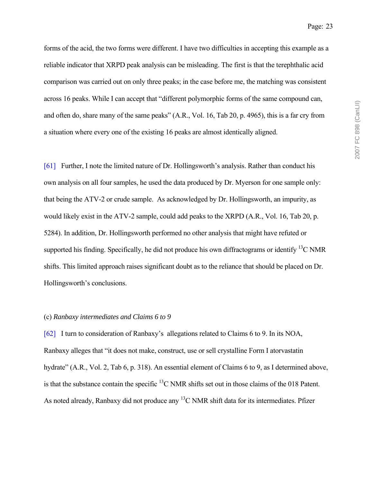forms of the acid, the two forms were different. I have two difficulties in accepting this example as a reliable indicator that XRPD peak analysis can be misleading. The first is that the terephthalic acid comparison was carried out on only three peaks; in the case before me, the matching was consistent across 16 peaks. While I can accept that "different polymorphic forms of the same compound can, and often do, share many of the same peaks" (A.R., Vol. 16, Tab 20, p. 4965), this is a far cry from a situation where every one of the existing 16 peaks are almost identically aligned.

[61] Further, I note the limited nature of Dr. Hollingsworth's analysis. Rather than conduct his own analysis on all four samples, he used the data produced by Dr. Myerson for one sample only: that being the ATV-2 or crude sample. As acknowledged by Dr. Hollingsworth, an impurity, as would likely exist in the ATV-2 sample, could add peaks to the XRPD (A.R., Vol. 16, Tab 20, p. 5284). In addition, Dr. Hollingsworth performed no other analysis that might have refuted or supported his finding. Specifically, he did not produce his own diffractograms or identify  $^{13}$ C NMR shifts. This limited approach raises significant doubt as to the reliance that should be placed on Dr. Hollingsworth's conclusions.

#### (c) *Ranbaxy intermediates and Claims 6 to 9*

[62] I turn to consideration of Ranbaxyís allegations related to Claims 6 to 9. In its NOA, Ranbaxy alleges that "it does not make, construct, use or sell crystalline Form I atorvastatin hydrate" (A.R., Vol. 2, Tab 6, p. 318). An essential element of Claims 6 to 9, as I determined above, is that the substance contain the specific 13C NMR shifts set out in those claims of the 018 Patent. As noted already, Ranbaxy did not produce any <sup>13</sup>C NMR shift data for its intermediates. Pfizer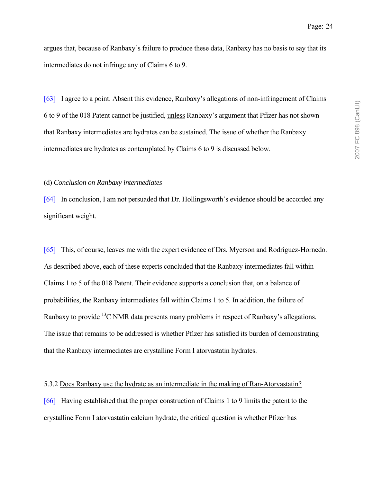argues that, because of Ranbaxy's failure to produce these data, Ranbaxy has no basis to say that its intermediates do not infringe any of Claims 6 to 9.

[63] I agree to a point. Absent this evidence, Ranbaxy's allegations of non-infringement of Claims 6 to 9 of the 018 Patent cannot be justified, unless Ranbaxyís argument that Pfizer has not shown that Ranbaxy intermediates are hydrates can be sustained. The issue of whether the Ranbaxy intermediates are hydrates as contemplated by Claims 6 to 9 is discussed below.

#### (d) *Conclusion on Ranbaxy intermediates*

[64] In conclusion, I am not persuaded that Dr. Hollingsworth's evidence should be accorded any significant weight.

[65] This, of course, leaves me with the expert evidence of Drs. Myerson and Rodríguez-Hornedo. As described above, each of these experts concluded that the Ranbaxy intermediates fall within Claims 1 to 5 of the 018 Patent. Their evidence supports a conclusion that, on a balance of probabilities, the Ranbaxy intermediates fall within Claims 1 to 5. In addition, the failure of Ranbaxy to provide  $^{13}$ C NMR data presents many problems in respect of Ranbaxy's allegations. The issue that remains to be addressed is whether Pfizer has satisfied its burden of demonstrating that the Ranbaxy intermediates are crystalline Form I atorvastatin hydrates.

#### 5.3.2 Does Ranbaxy use the hydrate as an intermediate in the making of Ran-Atorvastatin?

[66] Having established that the proper construction of Claims 1 to 9 limits the patent to the crystalline Form I atorvastatin calcium hydrate, the critical question is whether Pfizer has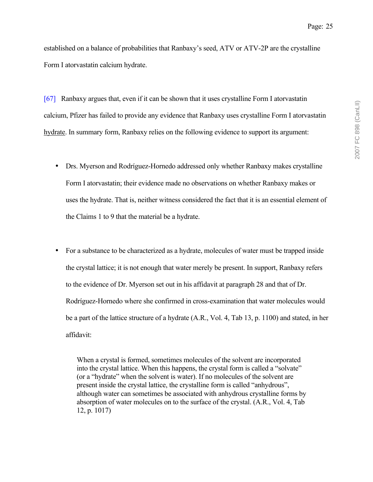established on a balance of probabilities that Ranbaxy's seed, ATV or ATV-2P are the crystalline Form I atorvastatin calcium hydrate.

[67] Ranbaxy argues that, even if it can be shown that it uses crystalline Form I atorvastatin calcium, Pfizer has failed to provide any evidence that Ranbaxy uses crystalline Form I atorvastatin hydrate. In summary form, Ranbaxy relies on the following evidence to support its argument:

- Drs. Myerson and Rodríguez-Hornedo addressed only whether Ranbaxy makes crystalline Form I atorvastatin; their evidence made no observations on whether Ranbaxy makes or uses the hydrate. That is, neither witness considered the fact that it is an essential element of the Claims 1 to 9 that the material be a hydrate.
- For a substance to be characterized as a hydrate, molecules of water must be trapped inside the crystal lattice; it is not enough that water merely be present. In support, Ranbaxy refers to the evidence of Dr. Myerson set out in his affidavit at paragraph 28 and that of Dr. Rodríguez-Hornedo where she confirmed in cross-examination that water molecules would be a part of the lattice structure of a hydrate (A.R., Vol. 4, Tab 13, p. 1100) and stated, in her affidavit:

When a crystal is formed, sometimes molecules of the solvent are incorporated into the crystal lattice. When this happens, the crystal form is called a "solvate" (or a "hydrate" when the solvent is water). If no molecules of the solvent are present inside the crystal lattice, the crystalline form is called "anhydrous", although water can sometimes be associated with anhydrous crystalline forms by absorption of water molecules on to the surface of the crystal. (A.R., Vol. 4, Tab 12, p. 1017)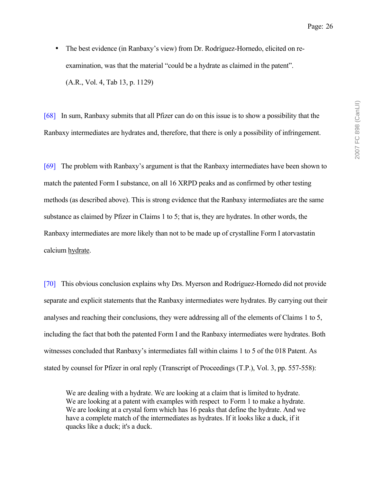2007 FC 898 (CanLII) 2007 FC 898 (CanLII)

• The best evidence (in Ranbaxy's view) from Dr. Rodríguez-Hornedo, elicited on reexamination, was that the material "could be a hydrate as claimed in the patent". (A.R., Vol. 4, Tab 13, p. 1129)

[68] In sum, Ranbaxy submits that all Pfizer can do on this issue is to show a possibility that the Ranbaxy intermediates are hydrates and, therefore, that there is only a possibility of infringement.

[69] The problem with Ranbaxy's argument is that the Ranbaxy intermediates have been shown to match the patented Form I substance, on all 16 XRPD peaks and as confirmed by other testing methods (as described above). This is strong evidence that the Ranbaxy intermediates are the same substance as claimed by Pfizer in Claims 1 to 5; that is, they are hydrates. In other words, the Ranbaxy intermediates are more likely than not to be made up of crystalline Form I atorvastatin calcium hydrate.

[70] This obvious conclusion explains why Drs. Myerson and Rodríguez-Hornedo did not provide separate and explicit statements that the Ranbaxy intermediates were hydrates. By carrying out their analyses and reaching their conclusions, they were addressing all of the elements of Claims 1 to 5, including the fact that both the patented Form I and the Ranbaxy intermediates were hydrates. Both witnesses concluded that Ranbaxy's intermediates fall within claims 1 to 5 of the 018 Patent. As stated by counsel for Pfizer in oral reply (Transcript of Proceedings (T.P.), Vol. 3, pp. 557-558):

We are dealing with a hydrate. We are looking at a claim that is limited to hydrate. We are looking at a patent with examples with respect to Form 1 to make a hydrate. We are looking at a crystal form which has 16 peaks that define the hydrate. And we have a complete match of the intermediates as hydrates. If it looks like a duck, if it quacks like a duck; it's a duck.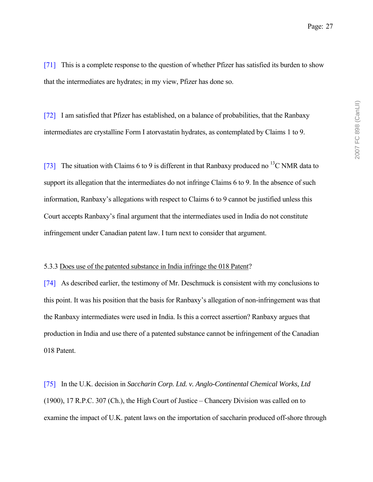[71] This is a complete response to the question of whether Pfizer has satisfied its burden to show that the intermediates are hydrates; in my view, Pfizer has done so.

[72] I am satisfied that Pfizer has established, on a balance of probabilities, that the Ranbaxy intermediates are crystalline Form I atorvastatin hydrates, as contemplated by Claims 1 to 9.

[73] The situation with Claims 6 to 9 is different in that Ranbaxy produced no <sup>13</sup>C NMR data to support its allegation that the intermediates do not infringe Claims 6 to 9. In the absence of such information, Ranbaxy's allegations with respect to Claims 6 to 9 cannot be justified unless this Court accepts Ranbaxy's final argument that the intermediates used in India do not constitute infringement under Canadian patent law. I turn next to consider that argument.

#### 5.3.3 Does use of the patented substance in India infringe the 018 Patent?

[74] As described earlier, the testimony of Mr. Deschmuck is consistent with my conclusions to this point. It was his position that the basis for Ranbaxy's allegation of non-infringement was that the Ranbaxy intermediates were used in India. Is this a correct assertion? Ranbaxy argues that production in India and use there of a patented substance cannot be infringement of the Canadian 018 Patent.

[75] In the U.K. decision in *Saccharin Corp. Ltd. v. Anglo-Continental Chemical Works, Ltd*  $(1900)$ , 17 R.P.C. 307 (Ch.), the High Court of Justice – Chancery Division was called on to examine the impact of U.K. patent laws on the importation of saccharin produced off-shore through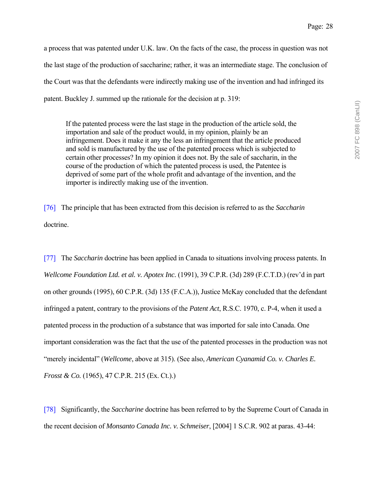2007 FC 898 (CanLII) 2007 FC 898 (CanLII)

a process that was patented under U.K. law. On the facts of the case, the process in question was not the last stage of the production of saccharine; rather, it was an intermediate stage. The conclusion of the Court was that the defendants were indirectly making use of the invention and had infringed its patent. Buckley J. summed up the rationale for the decision at p. 319:

If the patented process were the last stage in the production of the article sold, the importation and sale of the product would, in my opinion, plainly be an infringement. Does it make it any the less an infringement that the article produced and sold is manufactured by the use of the patented process which is subjected to certain other processes? In my opinion it does not. By the sale of saccharin, in the course of the production of which the patented process is used, the Patentee is deprived of some part of the whole profit and advantage of the invention, and the importer is indirectly making use of the invention.

[76] The principle that has been extracted from this decision is referred to as the *Saccharin* doctrine.

[77] The *Saccharin* doctrine has been applied in Canada to situations involving process patents. In *Wellcome Foundation Ltd. et al. v. Apotex Inc.* (1991), 39 C.P.R. (3d) 289 (F.C.T.D.) (rev'd in part on other grounds (1995), 60 C.P.R. (3d) 135 (F.C.A.)), Justice McKay concluded that the defendant infringed a patent, contrary to the provisions of the *Patent Act*, R.S.C. 1970, c. P-4, when it used a patented process in the production of a substance that was imported for sale into Canada. One important consideration was the fact that the use of the patented processes in the production was not ìmerely incidentalî (*Wellcome*, above at 315). (See also, *American Cyanamid Co. v. Charles E. Frosst & Co.* (1965), 47 C.P.R. 215 (Ex. Ct.).)

[78] Significantly, the *Saccharine* doctrine has been referred to by the Supreme Court of Canada in the recent decision of *Monsanto Canada Inc. v. Schmeiser*, [2004] 1 S.C.R. 902 at paras. 43-44: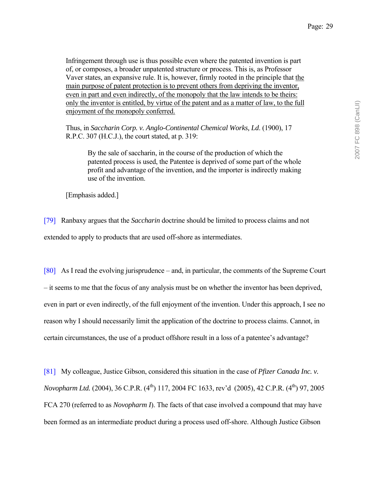Infringement through use is thus possible even where the patented invention is part of, or composes, a broader unpatented structure or process. This is, as Professor Vaver states, an expansive rule. It is, however, firmly rooted in the principle that the main purpose of patent protection is to prevent others from depriving the inventor, even in part and even indirectly, of the monopoly that the law intends to be theirs: only the inventor is entitled, by virtue of the patent and as a matter of law, to the full enjoyment of the monopoly conferred.

Thus, in *Saccharin Corp. v. Anglo-Continental Chemical Works, Ld*. (1900), 17 R.P.C. 307 (H.C.J.), the court stated, at p. 319:

By the sale of saccharin, in the course of the production of which the patented process is used, the Patentee is deprived of some part of the whole profit and advantage of the invention, and the importer is indirectly making use of the invention.

[Emphasis added.]

[79] Ranbaxy argues that the *Saccharin* doctrine should be limited to process claims and not extended to apply to products that are used off-shore as intermediates.

[80] As I read the evolving jurisprudence – and, in particular, the comments of the Supreme Court - it seems to me that the focus of any analysis must be on whether the inventor has been deprived, even in part or even indirectly, of the full enjoyment of the invention. Under this approach, I see no reason why I should necessarily limit the application of the doctrine to process claims. Cannot, in certain circumstances, the use of a product offshore result in a loss of a patentee's advantage?

[81] My colleague, Justice Gibson, considered this situation in the case of *Pfizer Canada Inc. v. Novopharm Ltd.* (2004), 36 C.P.R. (4<sup>th</sup>) 117, 2004 FC 1633, rev'd (2005), 42 C.P.R. (4<sup>th</sup>) 97, 2005 FCA 270 (referred to as *Novopharm I*). The facts of that case involved a compound that may have been formed as an intermediate product during a process used off-shore. Although Justice Gibson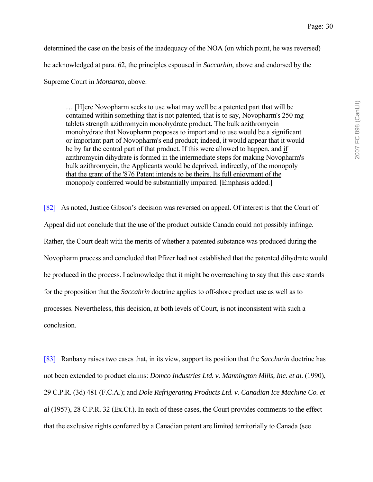determined the case on the basis of the inadequacy of the NOA (on which point, he was reversed) he acknowledged at para. 62, the principles espoused in *Saccarhin*, above and endorsed by the Supreme Court in *Monsanto*, above:

... [H]ere Novopharm seeks to use what may well be a patented part that will be contained within something that is not patented, that is to say, Novopharm's 250 mg tablets strength azithromycin monohydrate product. The bulk azithromycin monohydrate that Novopharm proposes to import and to use would be a significant or important part of Novopharm's end product; indeed, it would appear that it would be by far the central part of that product. If this were allowed to happen, and if azithromycin dihydrate is formed in the intermediate steps for making Novopharm's bulk azithromycin, the Applicants would be deprived, indirectly, of the monopoly that the grant of the '876 Patent intends to be theirs. Its full enjoyment of the monopoly conferred would be substantially impaired. [Emphasis added.]

[82] As noted, Justice Gibson's decision was reversed on appeal. Of interest is that the Court of Appeal did not conclude that the use of the product outside Canada could not possibly infringe. Rather, the Court dealt with the merits of whether a patented substance was produced during the Novopharm process and concluded that Pfizer had not established that the patented dihydrate would be produced in the process. I acknowledge that it might be overreaching to say that this case stands for the proposition that the *Saccahrin* doctrine applies to off-shore product use as well as to processes. Nevertheless, this decision, at both levels of Court, is not inconsistent with such a conclusion.

[83] Ranbaxy raises two cases that, in its view, support its position that the *Saccharin* doctrine has not been extended to product claims: *Domco Industries Ltd. v. Mannington Mills, Inc. et al.* (1990), 29 C.P.R. (3d) 481 (F.C.A.); and *Dole Refrigerating Products Ltd. v. Canadian Ice Machine Co. et al* (1957), 28 C.P.R. 32 (Ex.Ct.). In each of these cases, the Court provides comments to the effect that the exclusive rights conferred by a Canadian patent are limited territorially to Canada (see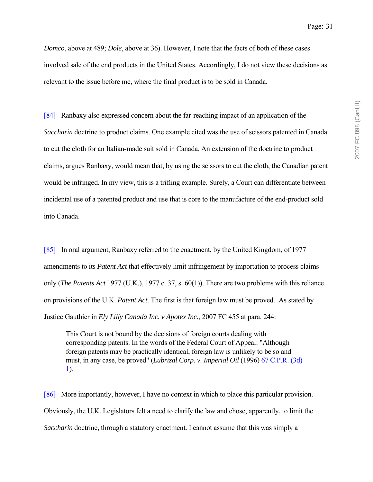Page: 31

*Domco*, above at 489; *Dole*, above at 36). However, I note that the facts of both of these cases involved sale of the end products in the United States. Accordingly, I do not view these decisions as relevant to the issue before me, where the final product is to be sold in Canada.

[84] Ranbaxy also expressed concern about the far-reaching impact of an application of the *Saccharin* doctrine to product claims. One example cited was the use of scissors patented in Canada to cut the cloth for an Italian-made suit sold in Canada. An extension of the doctrine to product claims, argues Ranbaxy, would mean that, by using the scissors to cut the cloth, the Canadian patent would be infringed. In my view, this is a trifling example. Surely, a Court can differentiate between incidental use of a patented product and use that is core to the manufacture of the end-product sold into Canada.

[85] In oral argument, Ranbaxy referred to the enactment, by the United Kingdom, of 1977 amendments to its *Patent Act* that effectively limit infringement by importation to process claims only (*The Patents Act* 1977 (U.K.), 1977 c. 37, s. 60(1)). There are two problems with this reliance on provisions of the U.K. *Patent Act*. The first is that foreign law must be proved. As stated by Justice Gauthier in *Ely Lilly Canada Inc. v Apotex Inc.*, 2007 FC 455 at para. 244:

This Court is not bound by the decisions of foreign courts dealing with corresponding patents. In the words of the Federal Court of Appeal: "Although foreign patents may be practically identical, foreign law is unlikely to be so and must, in any case, be proved" (*Lubrizal Corp. v. Imperial Oil* (1996) 67 C.P.R. (3d) 1).

[86] More importantly, however, I have no context in which to place this particular provision. Obviously, the U.K. Legislators felt a need to clarify the law and chose, apparently, to limit the *Saccharin* doctrine, through a statutory enactment. I cannot assume that this was simply a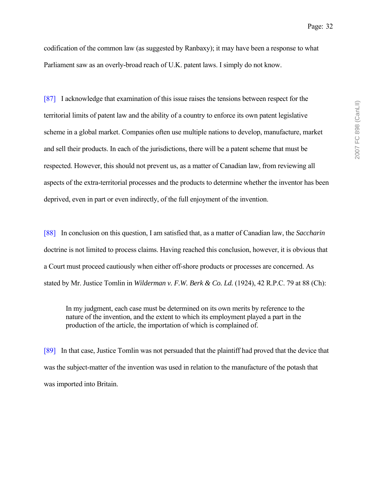codification of the common law (as suggested by Ranbaxy); it may have been a response to what Parliament saw as an overly-broad reach of U.K. patent laws. I simply do not know.

[87] I acknowledge that examination of this issue raises the tensions between respect for the territorial limits of patent law and the ability of a country to enforce its own patent legislative scheme in a global market. Companies often use multiple nations to develop, manufacture, market and sell their products. In each of the jurisdictions, there will be a patent scheme that must be respected. However, this should not prevent us, as a matter of Canadian law, from reviewing all aspects of the extra-territorial processes and the products to determine whether the inventor has been deprived, even in part or even indirectly, of the full enjoyment of the invention.

[88] In conclusion on this question, I am satisfied that, as a matter of Canadian law, the *Saccharin* doctrine is not limited to process claims. Having reached this conclusion, however, it is obvious that a Court must proceed cautiously when either off-shore products or processes are concerned. As stated by Mr. Justice Tomlin in *Wilderman v. F.W. Berk & Co. Ld.* (1924), 42 R.P.C. 79 at 88 (Ch):

In my judgment, each case must be determined on its own merits by reference to the nature of the invention, and the extent to which its employment played a part in the production of the article, the importation of which is complained of.

[89] In that case, Justice Tomlin was not persuaded that the plaintiff had proved that the device that was the subject-matter of the invention was used in relation to the manufacture of the potash that was imported into Britain.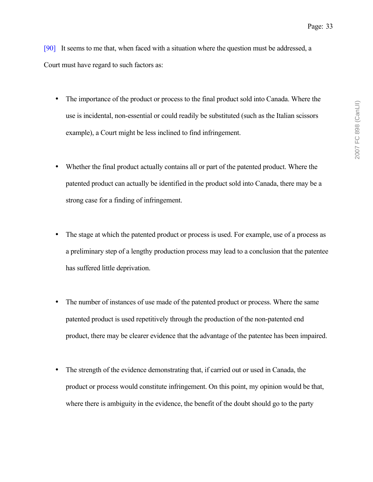[90] It seems to me that, when faced with a situation where the question must be addressed, a Court must have regard to such factors as:

- The importance of the product or process to the final product sold into Canada. Where the use is incidental, non-essential or could readily be substituted (such as the Italian scissors example), a Court might be less inclined to find infringement.
- Whether the final product actually contains all or part of the patented product. Where the patented product can actually be identified in the product sold into Canada, there may be a strong case for a finding of infringement.
- The stage at which the patented product or process is used. For example, use of a process as a preliminary step of a lengthy production process may lead to a conclusion that the patentee has suffered little deprivation.
- The number of instances of use made of the patented product or process. Where the same patented product is used repetitively through the production of the non-patented end product, there may be clearer evidence that the advantage of the patentee has been impaired.
- The strength of the evidence demonstrating that, if carried out or used in Canada, the product or process would constitute infringement. On this point, my opinion would be that, where there is ambiguity in the evidence, the benefit of the doubt should go to the party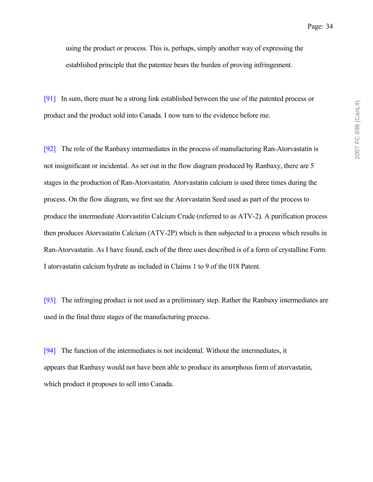using the product or process. This is, perhaps, simply another way of expressing the established principle that the patentee bears the burden of proving infringement.

[91] In sum, there must be a strong link established between the use of the patented process or product and the product sold into Canada. I now turn to the evidence before me.

[92] The role of the Ranbaxy intermediates in the process of manufacturing Ran-Atorvastatin is not insignificant or incidental. As set out in the flow diagram produced by Ranbaxy, there are 5 stages in the production of Ran-Atorvastatin. Atorvastatin calcium is used three times during the process. On the flow diagram, we first see the Atorvastatin Seed used as part of the process to produce the intermediate Atorvastitin Calcium Crude (referred to as ATV-2). A purification process then produces Atorvastatin Calcium (ATV-2P) which is then subjected to a process which results in Ran-Atorvastatin. As I have found, each of the three uses described is of a form of crystalline Form I atorvastatin calcium hydrate as included in Claims 1 to 9 of the 018 Patent.

[93] The infringing product is not used as a preliminary step. Rather the Ranbaxy intermediates are used in the final three stages of the manufacturing process.

[94] The function of the intermediates is not incidental. Without the intermediates, it appears that Ranbaxy would not have been able to produce its amorphous form of atorvastatin, which product it proposes to sell into Canada.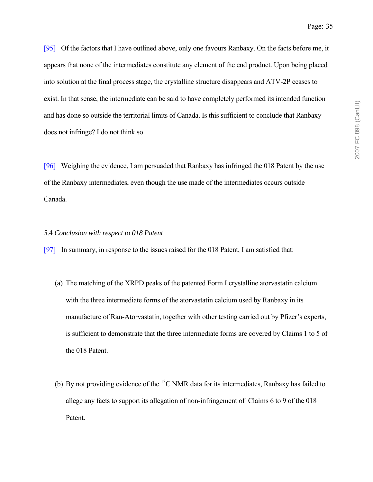[95] Of the factors that I have outlined above, only one favours Ranbaxy. On the facts before me, it appears that none of the intermediates constitute any element of the end product. Upon being placed into solution at the final process stage, the crystalline structure disappears and ATV-2P ceases to exist. In that sense, the intermediate can be said to have completely performed its intended function and has done so outside the territorial limits of Canada. Is this sufficient to conclude that Ranbaxy does not infringe? I do not think so.

[96] Weighing the evidence, I am persuaded that Ranbaxy has infringed the 018 Patent by the use of the Ranbaxy intermediates, even though the use made of the intermediates occurs outside Canada.

#### 5.4 *Conclusion with respect to 018 Patent*

[97] In summary, in response to the issues raised for the 018 Patent, I am satisfied that:

- (a) The matching of the XRPD peaks of the patented Form I crystalline atorvastatin calcium with the three intermediate forms of the atorvastatin calcium used by Ranbaxy in its manufacture of Ran-Atorvastatin, together with other testing carried out by Pfizer's experts, is sufficient to demonstrate that the three intermediate forms are covered by Claims 1 to 5 of the 018 Patent.
- (b) By not providing evidence of the  ${}^{13}C$  NMR data for its intermediates, Ranbaxy has failed to allege any facts to support its allegation of non-infringement of Claims 6 to 9 of the 018 Patent.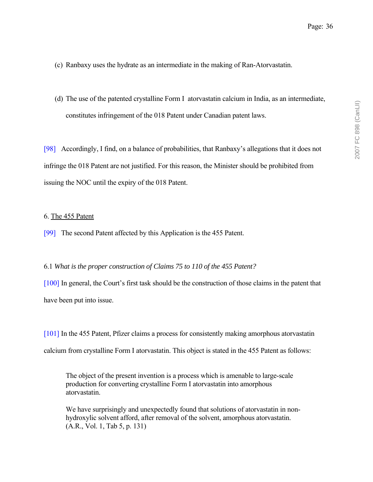- (c) Ranbaxy uses the hydrate as an intermediate in the making of Ran-Atorvastatin.
- (d) The use of the patented crystalline Form I atorvastatin calcium in India, as an intermediate, constitutes infringement of the 018 Patent under Canadian patent laws.

[98] Accordingly, I find, on a balance of probabilities, that Ranbaxyís allegations that it does not infringe the 018 Patent are not justified. For this reason, the Minister should be prohibited from issuing the NOC until the expiry of the 018 Patent.

### 6. The 455 Patent

[99] The second Patent affected by this Application is the 455 Patent.

## 6.1 *What is the proper construction of Claims 75 to 110 of the 455 Patent?*

 $[100]$  In general, the Court's first task should be the construction of those claims in the patent that have been put into issue.

[101] In the 455 Patent, Pfizer claims a process for consistently making amorphous atorvastatin calcium from crystalline Form I atorvastatin. This object is stated in the 455 Patent as follows:

The object of the present invention is a process which is amenable to large-scale production for converting crystalline Form I atorvastatin into amorphous atorvastatin.

We have surprisingly and unexpectedly found that solutions of atorvastatin in nonhydroxylic solvent afford, after removal of the solvent, amorphous atorvastatin. (A.R., Vol. 1, Tab 5, p. 131)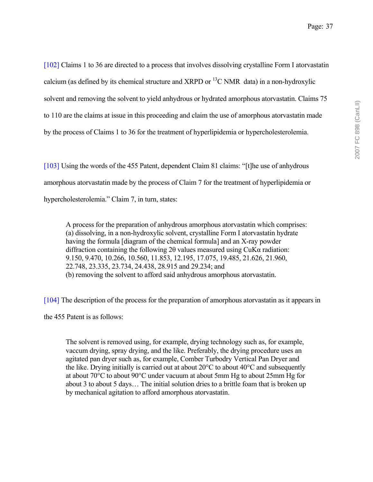[102] Claims 1 to 36 are directed to a process that involves dissolving crystalline Form I atorvastatin calcium (as defined by its chemical structure and XRPD or  ${}^{13}$ C NMR data) in a non-hydroxylic solvent and removing the solvent to yield anhydrous or hydrated amorphous atorvastatin. Claims 75 to 110 are the claims at issue in this proceeding and claim the use of amorphous atorvastatin made by the process of Claims 1 to 36 for the treatment of hyperlipidemia or hypercholesterolemia.

[ $103$ ] Using the words of the 455 Patent, dependent Claim 81 claims: "[t]he use of anhydrous amorphous atorvastatin made by the process of Claim 7 for the treatment of hyperlipidemia or hypercholesterolemia." Claim 7, in turn, states:

A process for the preparation of anhydrous amorphous atorvastatin which comprises: (a) dissolving, in a non-hydroxylic solvent, crystalline Form I atorvastatin hydrate having the formula [diagram of the chemical formula] and an X-ray powder diffraction containing the following 2θ values measured using CuKα radiation: 9.150, 9.470, 10.266, 10.560, 11.853, 12.195, 17.075, 19.485, 21.626, 21.960, 22.748, 23.335, 23.734, 24.438, 28.915 and 29.234; and (b) removing the solvent to afford said anhydrous amorphous atorvastatin.

[104] The description of the process for the preparation of amorphous atorvastatin as it appears in the 455 Patent is as follows:

The solvent is removed using, for example, drying technology such as, for example, vaccum drying, spray drying, and the like. Preferably, the drying procedure uses an agitated pan dryer such as, for example, Comber Turbodry Vertical Pan Dryer and the like. Drying initially is carried out at about  $20^{\circ}$ C to about  $40^{\circ}$ C and subsequently at about 70°C to about 90°C under vacuum at about 5mm Hg to about 25mm Hg for about 3 to about 5 days... The initial solution dries to a brittle foam that is broken up by mechanical agitation to afford amorphous atorvastatin.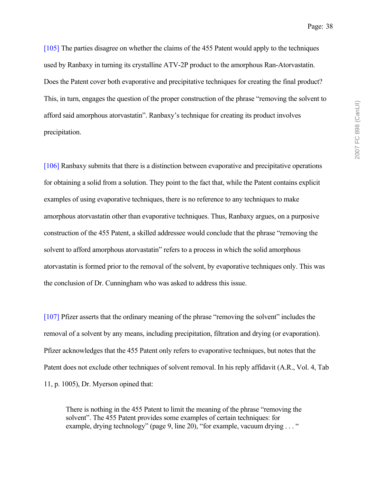[105] The parties disagree on whether the claims of the 455 Patent would apply to the techniques used by Ranbaxy in turning its crystalline ATV-2P product to the amorphous Ran-Atorvastatin. Does the Patent cover both evaporative and precipitative techniques for creating the final product? This, in turn, engages the question of the proper construction of the phrase "removing the solvent to afford said amorphous atorvastatin". Ranbaxy's technique for creating its product involves precipitation.

[106] Ranbaxy submits that there is a distinction between evaporative and precipitative operations for obtaining a solid from a solution. They point to the fact that, while the Patent contains explicit examples of using evaporative techniques, there is no reference to any techniques to make amorphous atorvastatin other than evaporative techniques. Thus, Ranbaxy argues, on a purposive construction of the 455 Patent, a skilled addressee would conclude that the phrase "removing the solvent to afford amorphous atorvastatin" refers to a process in which the solid amorphous atorvastatin is formed prior to the removal of the solvent, by evaporative techniques only. This was the conclusion of Dr. Cunningham who was asked to address this issue.

 $[107]$  Pfizer asserts that the ordinary meaning of the phrase "removing the solvent" includes the removal of a solvent by any means, including precipitation, filtration and drying (or evaporation). Pfizer acknowledges that the 455 Patent only refers to evaporative techniques, but notes that the Patent does not exclude other techniques of solvent removal. In his reply affidavit (A.R., Vol. 4, Tab 11, p. 1005), Dr. Myerson opined that:

There is nothing in the 455 Patent to limit the meaning of the phrase "removing the solvent". The 455 Patent provides some examples of certain techniques: for example, drying technology" (page 9, line 20), "for example, vacuum drying  $\dots$  "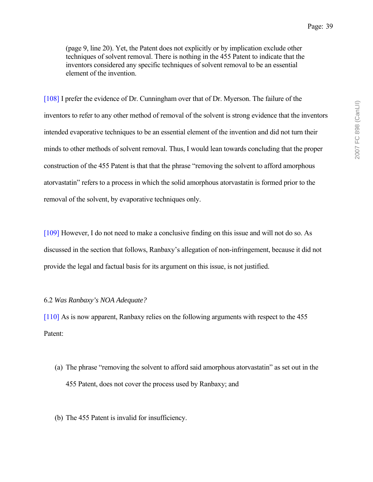(page 9, line 20). Yet, the Patent does not explicitly or by implication exclude other techniques of solvent removal. There is nothing in the 455 Patent to indicate that the inventors considered any specific techniques of solvent removal to be an essential element of the invention.

[108] I prefer the evidence of Dr. Cunningham over that of Dr. Myerson. The failure of the inventors to refer to any other method of removal of the solvent is strong evidence that the inventors intended evaporative techniques to be an essential element of the invention and did not turn their minds to other methods of solvent removal. Thus, I would lean towards concluding that the proper construction of the 455 Patent is that that the phrase "removing the solvent to afford amorphous atorvastatin" refers to a process in which the solid amorphous atorvastatin is formed prior to the removal of the solvent, by evaporative techniques only.

[109] However, I do not need to make a conclusive finding on this issue and will not do so. As discussed in the section that follows, Ranbaxy's allegation of non-infringement, because it did not provide the legal and factual basis for its argument on this issue, is not justified.

#### 6.2 *Was Ranbaxy's NOA Adequate?*

[110] As is now apparent, Ranbaxy relies on the following arguments with respect to the 455 Patent:

- (a) The phrase "removing the solvent to afford said amorphous atorvastatin" as set out in the 455 Patent, does not cover the process used by Ranbaxy; and
- (b) The 455 Patent is invalid for insufficiency.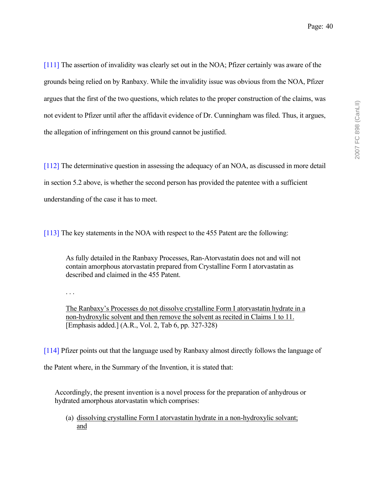[111] The assertion of invalidity was clearly set out in the NOA; Pfizer certainly was aware of the grounds being relied on by Ranbaxy. While the invalidity issue was obvious from the NOA, Pfizer argues that the first of the two questions, which relates to the proper construction of the claims, was not evident to Pfizer until after the affidavit evidence of Dr. Cunningham was filed. Thus, it argues, the allegation of infringement on this ground cannot be justified.

[112] The determinative question in assessing the adequacy of an NOA, as discussed in more detail in section 5.2 above, is whether the second person has provided the patentee with a sufficient understanding of the case it has to meet.

[113] The key statements in the NOA with respect to the 455 Patent are the following:

As fully detailed in the Ranbaxy Processes, Ran-Atorvastatin does not and will not contain amorphous atorvastatin prepared from Crystalline Form I atorvastatin as described and claimed in the 455 Patent.

. . .

The Ranbaxyís Processes do not dissolve crystalline Form I atorvastatin hydrate in a non-hydroxylic solvent and then remove the solvent as recited in Claims 1 to 11. [Emphasis added.] (A.R., Vol. 2, Tab 6, pp. 327-328)

[114] Pfizer points out that the language used by Ranbaxy almost directly follows the language of the Patent where, in the Summary of the Invention, it is stated that:

Accordingly, the present invention is a novel process for the preparation of anhydrous or hydrated amorphous atorvastatin which comprises:

(a) dissolving crystalline Form I atorvastatin hydrate in a non-hydroxylic solvant; and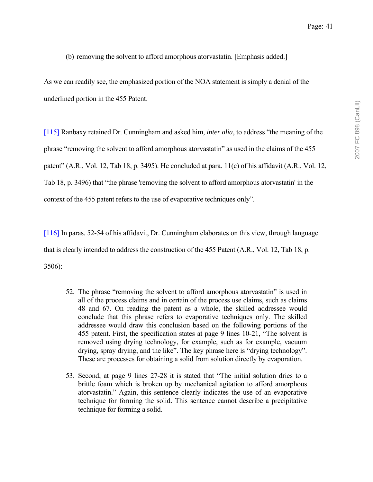# (b) removing the solvent to afford amorphous atorvastatin. [Emphasis added.]

As we can readily see, the emphasized portion of the NOA statement is simply a denial of the underlined portion in the 455 Patent.

[115] Ranbaxy retained Dr. Cunningham and asked him, *inter alia*, to address "the meaning of the phrase "removing the solvent to afford amorphous atorvastatin" as used in the claims of the 455 patent" (A.R., Vol. 12, Tab 18, p. 3495). He concluded at para. 11(c) of his affidavit (A.R., Vol. 12, Tab 18, p. 3496) that "the phrase 'removing the solvent to afford amorphous atorvastatin' in the context of the 455 patent refers to the use of evaporative techniques only".

[116] In paras. 52-54 of his affidavit, Dr. Cunningham elaborates on this view, through language that is clearly intended to address the construction of the 455 Patent (A.R., Vol. 12, Tab 18, p. 3506):

- 52. The phrase "removing the solvent to afford amorphous atorvastatin" is used in all of the process claims and in certain of the process use claims, such as claims 48 and 67. On reading the patent as a whole, the skilled addressee would conclude that this phrase refers to evaporative techniques only. The skilled addressee would draw this conclusion based on the following portions of the 455 patent. First, the specification states at page 9 lines 10-21, "The solvent is removed using drying technology, for example, such as for example, vacuum drying, spray drying, and the like". The key phrase here is "drying technology". These are processes for obtaining a solid from solution directly by evaporation.
- 53. Second, at page 9 lines 27-28 it is stated that "The initial solution dries to a brittle foam which is broken up by mechanical agitation to afford amorphous atorvastatin.î Again, this sentence clearly indicates the use of an evaporative technique for forming the solid. This sentence cannot describe a precipitative technique for forming a solid.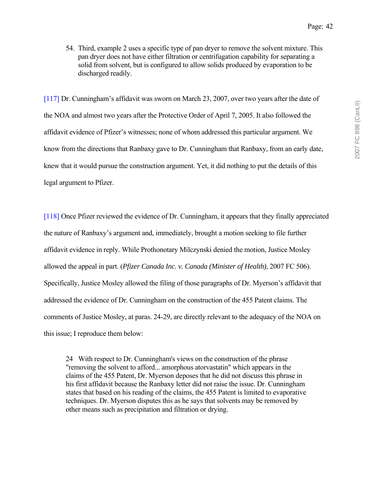54. Third, example 2 uses a specific type of pan dryer to remove the solvent mixture. This pan dryer does not have either filtration or centrifugation capability for separating a solid from solvent, but is configured to allow solids produced by evaporation to be discharged readily.

[117] Dr. Cunningham's affidavit was sworn on March 23, 2007, over two years after the date of the NOA and almost two years after the Protective Order of April 7, 2005. It also followed the affidavit evidence of Pfizerís witnesses; none of whom addressed this particular argument. We know from the directions that Ranbaxy gave to Dr. Cunningham that Ranbaxy, from an early date, knew that it would pursue the construction argument. Yet, it did nothing to put the details of this legal argument to Pfizer.

[118] Once Pfizer reviewed the evidence of Dr. Cunningham, it appears that they finally appreciated the nature of Ranbaxy's argument and, immediately, brought a motion seeking to file further affidavit evidence in reply. While Prothonotary Milczynski denied the motion, Justice Mosley allowed the appeal in part. (*Pfizer Canada Inc. v. Canada (Minister of Health)*, 2007 FC 506). Specifically, Justice Mosley allowed the filing of those paragraphs of Dr. Myerson's affidavit that addressed the evidence of Dr. Cunningham on the construction of the 455 Patent claims. The comments of Justice Mosley, at paras. 24-29, are directly relevant to the adequacy of the NOA on this issue; I reproduce them below:

24 With respect to Dr. Cunningham's views on the construction of the phrase "removing the solvent to afford... amorphous atorvastatin" which appears in the claims of the 455 Patent, Dr. Myerson deposes that he did not discuss this phrase in his first affidavit because the Ranbaxy letter did not raise the issue. Dr. Cunningham states that based on his reading of the claims, the 455 Patent is limited to evaporative techniques. Dr. Myerson disputes this as he says that solvents may be removed by other means such as precipitation and filtration or drying.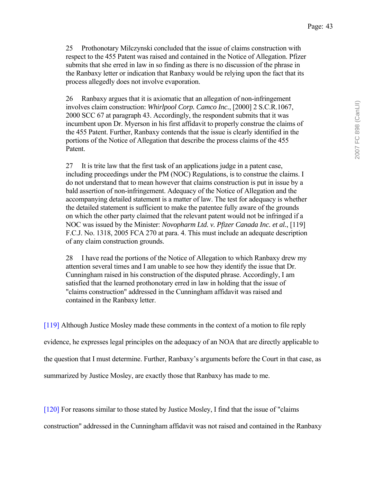25 Prothonotary Milczynski concluded that the issue of claims construction with respect to the 455 Patent was raised and contained in the Notice of Allegation. Pfizer submits that she erred in law in so finding as there is no discussion of the phrase in the Ranbaxy letter or indication that Ranbaxy would be relying upon the fact that its process allegedly does not involve evaporation.

26 Ranbaxy argues that it is axiomatic that an allegation of non-infringement involves claim construction: *Whirlpool Corp. Camco Inc.*, [2000] 2 S.C.R.1067, 2000 SCC 67 at paragraph 43. Accordingly, the respondent submits that it was incumbent upon Dr. Myerson in his first affidavit to properly construe the claims of the 455 Patent. Further, Ranbaxy contends that the issue is clearly identified in the portions of the Notice of Allegation that describe the process claims of the 455 Patent.

27 It is trite law that the first task of an applications judge in a patent case, including proceedings under the PM (NOC) Regulations, is to construe the claims. I do not understand that to mean however that claims construction is put in issue by a bald assertion of non-infringement. Adequacy of the Notice of Allegation and the accompanying detailed statement is a matter of law. The test for adequacy is whether the detailed statement is sufficient to make the patentee fully aware of the grounds on which the other party claimed that the relevant patent would not be infringed if a NOC was issued by the Minister: *Novopharm Ltd. v. Pfizer Canada Inc. et al.*, [119] F.C.J. No. 1318, 2005 FCA 270 at para. 4. This must include an adequate description of any claim construction grounds.

28 I have read the portions of the Notice of Allegation to which Ranbaxy drew my attention several times and I am unable to see how they identify the issue that Dr. Cunningham raised in his construction of the disputed phrase. Accordingly, I am satisfied that the learned prothonotary erred in law in holding that the issue of "claims construction" addressed in the Cunningham affidavit was raised and contained in the Ranbaxy letter.

[119] Although Justice Mosley made these comments in the context of a motion to file reply evidence, he expresses legal principles on the adequacy of an NOA that are directly applicable to the question that I must determine. Further, Ranbaxyís arguments before the Court in that case, as summarized by Justice Mosley, are exactly those that Ranbaxy has made to me.

[120] For reasons similar to those stated by Justice Mosley, I find that the issue of "claims

construction" addressed in the Cunningham affidavit was not raised and contained in the Ranbaxy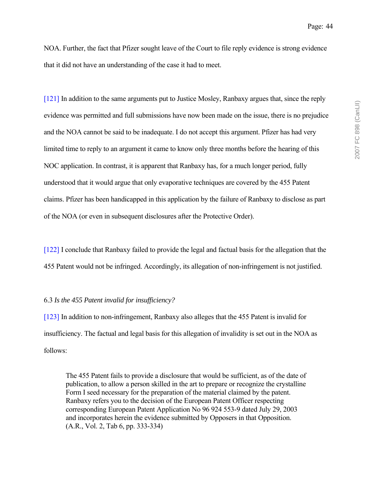NOA. Further, the fact that Pfizer sought leave of the Court to file reply evidence is strong evidence that it did not have an understanding of the case it had to meet.

[121] In addition to the same arguments put to Justice Mosley, Ranbaxy argues that, since the reply evidence was permitted and full submissions have now been made on the issue, there is no prejudice and the NOA cannot be said to be inadequate. I do not accept this argument. Pfizer has had very limited time to reply to an argument it came to know only three months before the hearing of this NOC application. In contrast, it is apparent that Ranbaxy has, for a much longer period, fully understood that it would argue that only evaporative techniques are covered by the 455 Patent claims. Pfizer has been handicapped in this application by the failure of Ranbaxy to disclose as part of the NOA (or even in subsequent disclosures after the Protective Order).

[122] I conclude that Ranbaxy failed to provide the legal and factual basis for the allegation that the 455 Patent would not be infringed. Accordingly, its allegation of non-infringement is not justified.

#### 6.3 *Is the 455 Patent invalid for insufficiency?*

[123] In addition to non-infringement, Ranbaxy also alleges that the 455 Patent is invalid for insufficiency. The factual and legal basis for this allegation of invalidity is set out in the NOA as follows:

The 455 Patent fails to provide a disclosure that would be sufficient, as of the date of publication, to allow a person skilled in the art to prepare or recognize the crystalline Form I seed necessary for the preparation of the material claimed by the patent. Ranbaxy refers you to the decision of the European Patent Officer respecting corresponding European Patent Application No 96 924 553-9 dated July 29, 2003 and incorporates herein the evidence submitted by Opposers in that Opposition. (A.R., Vol. 2, Tab 6, pp. 333-334)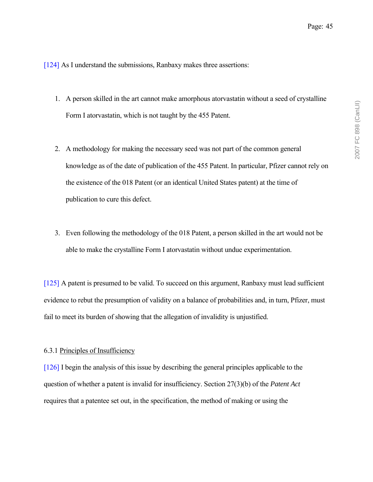[124] As I understand the submissions, Ranbaxy makes three assertions:

- 1. A person skilled in the art cannot make amorphous atorvastatin without a seed of crystalline Form I atorvastatin, which is not taught by the 455 Patent.
- 2. A methodology for making the necessary seed was not part of the common general knowledge as of the date of publication of the 455 Patent. In particular, Pfizer cannot rely on the existence of the 018 Patent (or an identical United States patent) at the time of publication to cure this defect.
- 3. Even following the methodology of the 018 Patent, a person skilled in the art would not be able to make the crystalline Form I atorvastatin without undue experimentation.

[125] A patent is presumed to be valid. To succeed on this argument, Ranbaxy must lead sufficient evidence to rebut the presumption of validity on a balance of probabilities and, in turn, Pfizer, must fail to meet its burden of showing that the allegation of invalidity is unjustified.

#### 6.3.1 Principles of Insufficiency

[126] I begin the analysis of this issue by describing the general principles applicable to the question of whether a patent is invalid for insufficiency. Section 27(3)(b) of the *Patent Act* requires that a patentee set out, in the specification, the method of making or using the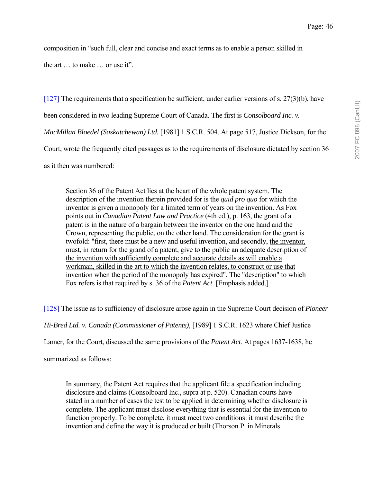composition in "such full, clear and concise and exact terms as to enable a person skilled in

the art  $\ldots$  to make  $\ldots$  or use it".

[127] The requirements that a specification be sufficient, under earlier versions of s. 27(3)(b), have

been considered in two leading Supreme Court of Canada. The first is *Consolboard Inc. v.* 

*MacMillan Bloedel (Saskatchewan) Ltd.* [1981] 1 S.C.R. 504. At page 517, Justice Dickson, for the

Court, wrote the frequently cited passages as to the requirements of disclosure dictated by section 36

as it then was numbered:

Section 36 of the Patent Act lies at the heart of the whole patent system. The description of the invention therein provided for is the *quid pro quo* for which the inventor is given a monopoly for a limited term of years on the invention. As Fox points out in *Canadian Patent Law and Practice* (4th ed.), p. 163, the grant of a patent is in the nature of a bargain between the inventor on the one hand and the Crown, representing the public, on the other hand. The consideration for the grant is twofold: "first, there must be a new and useful invention, and secondly, the inventor, must, in return for the grand of a patent, give to the public an adequate description of the invention with sufficiently complete and accurate details as will enable a workman, skilled in the art to which the invention relates, to construct or use that invention when the period of the monopoly has expired". The "description" to which Fox refers is that required by s. 36 of the *Patent Act*. [Emphasis added.]

[128] The issue as to sufficiency of disclosure arose again in the Supreme Court decision of *Pioneer* 

*Hi-Bred Ltd. v. Canada (Commissioner of Patents)*, [1989] 1 S.C.R. 1623 where Chief Justice

Lamer, for the Court, discussed the same provisions of the *Patent Act*. At pages 1637-1638, he

summarized as follows:

In summary, the Patent Act requires that the applicant file a specification including disclosure and claims (Consolboard Inc., supra at p. 520). Canadian courts have stated in a number of cases the test to be applied in determining whether disclosure is complete. The applicant must disclose everything that is essential for the invention to function properly. To be complete, it must meet two conditions: it must describe the invention and define the way it is produced or built (Thorson P. in Minerals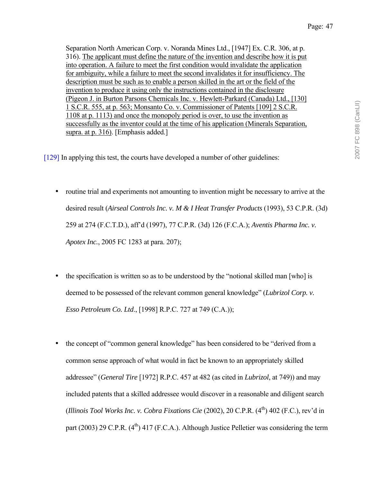Separation North American Corp. v. Noranda Mines Ltd., [1947] Ex. C.R. 306, at p. 316). The applicant must define the nature of the invention and describe how it is put into operation. A failure to meet the first condition would invalidate the application for ambiguity, while a failure to meet the second invalidates it for insufficiency. The description must be such as to enable a person skilled in the art or the field of the invention to produce it using only the instructions contained in the disclosure (Pigeon J. in Burton Parsons Chemicals Inc. v. Hewlett-Parkard (Canada) Ltd., [130] 1 S.C.R. 555, at p. 563; Monsanto Co. v. Commissioner of Patents [109] 2 S.C.R. 1108 at p. 1113) and once the monopoly period is over, to use the invention as successfully as the inventor could at the time of his application (Minerals Separation, supra. at p. 316). [Emphasis added.]

[129] In applying this test, the courts have developed a number of other guidelines:

- routine trial and experiments not amounting to invention might be necessary to arrive at the desired result (*Airseal Controls Inc. v. M & I Heat Transfer Products* (1993), 53 C.P.R. (3d) 259 at 274 (F.C.T.D.), affíd (1997), 77 C.P.R. (3d) 126 (F.C.A.); *Aventis Pharma Inc. v. Apotex Inc.*, 2005 FC 1283 at para. 207);
- the specification is written so as to be understood by the "notional skilled man [who] is deemed to be possessed of the relevant common general knowledge" (*Lubrizol Corp. v. Esso Petroleum Co. Ltd*., [1998] R.P.C. 727 at 749 (C.A.));
- the concept of "common general knowledge" has been considered to be "derived from a common sense approach of what would in fact be known to an appropriately skilled addressee" *(General Tire* [1972] R.P.C. 457 at 482 (as cited in *Lubrizol*, at 749)) and may included patents that a skilled addressee would discover in a reasonable and diligent search (*Illinois Tool Works Inc. v. Cobra Fixations Cie* (2002), 20 C.P.R. (4<sup>th</sup>) 402 (F.C.), rev'd in part (2003) 29 C.P.R.  $(4^{th})$  417 (F.C.A.). Although Justice Pelletier was considering the term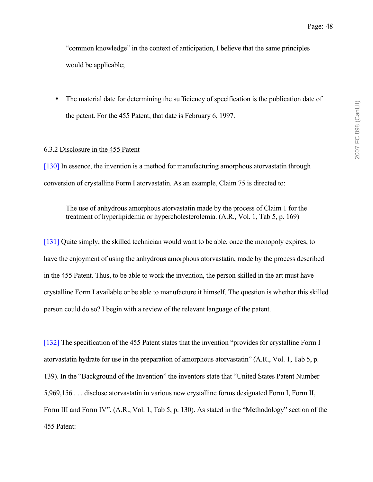ìcommon knowledgeî in the context of anticipation, I believe that the same principles would be applicable;

• The material date for determining the sufficiency of specification is the publication date of the patent. For the 455 Patent, that date is February 6, 1997.

## 6.3.2 Disclosure in the 455 Patent

[130] In essence, the invention is a method for manufacturing amorphous atorvastatin through conversion of crystalline Form I atorvastatin. As an example, Claim 75 is directed to:

The use of anhydrous amorphous atorvastatin made by the process of Claim 1 for the treatment of hyperlipidemia or hypercholesterolemia. (A.R., Vol. 1, Tab 5, p. 169)

[131] Quite simply, the skilled technician would want to be able, once the monopoly expires, to have the enjoyment of using the anhydrous amorphous atorvastatin, made by the process described in the 455 Patent. Thus, to be able to work the invention, the person skilled in the art must have crystalline Form I available or be able to manufacture it himself. The question is whether this skilled person could do so? I begin with a review of the relevant language of the patent.

[132] The specification of the 455 Patent states that the invention "provides for crystalline Form I atorvastatin hydrate for use in the preparation of amorphous atorvastatinî (A.R., Vol. 1, Tab 5, p. 139). In the "Background of the Invention" the inventors state that "United States Patent Number 5,969,156 . . . disclose atorvastatin in various new crystalline forms designated Form I, Form II, Form III and Form IV". (A.R., Vol. 1, Tab 5, p. 130). As stated in the "Methodology" section of the 455 Patent: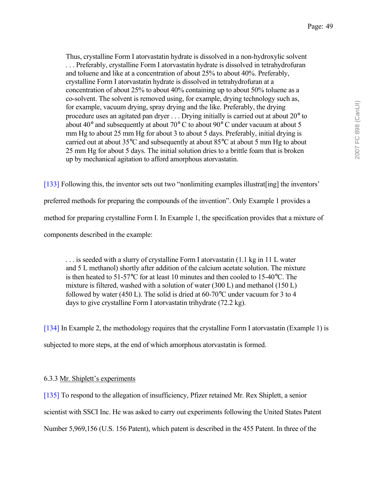Thus, crystalline Form I atorvastatin hydrate is dissolved in a non-hydroxylic solvent . . . Preferably, crystalline Form I atorvastatin hydrate is dissolved in tetrahydrofuran and toluene and like at a concentration of about 25% to about 40%. Preferably, crystalline Form I atorvastatin hydrate is dissolved in tetrahydrofuran at a concentration of about 25% to about 40% containing up to about 50% toluene as a co-solvent. The solvent is removed using, for example, drying technology such as, for example, vacuum drying, spray drying and the like. Preferably, the drying procedure uses an agitated pan dryer . . . Drying initially is carried out at about 20° to about 40 $^{\circ}$  and subsequently at about 70 $^{\circ}$  C to about 90 $^{\circ}$  C under vacuum at about 5 mm Hg to about 25 mm Hg for about 3 to about 5 days. Preferably, initial drying is carried out at about 35°C and subsequently at about 85°C at about 5 mm Hg to about 25 mm Hg for about 5 days. The initial solution dries to a brittle foam that is broken up by mechanical agitation to afford amorphous atorvastatin.

[133] Following this, the inventor sets out two "nonlimiting examples illustrat[ing] the inventors' preferred methods for preparing the compounds of the inventionî. Only Example 1 provides a method for preparing crystalline Form I. In Example 1, the specification provides that a mixture of components described in the example:

. . . is seeded with a slurry of crystalline Form I atorvastatin (1.1 kg in 11 L water and 5 L methanol) shortly after addition of the calcium acetate solution. The mixture is then heated to 51-57°C for at least 10 minutes and then cooled to 15-40°C. The mixture is filtered, washed with a solution of water (300 L) and methanol (150 L) followed by water (450 L). The solid is dried at 60-70°C under vacuum for 3 to 4 days to give crystalline Form I atorvastatin trihydrate (72.2 kg).

[134] In Example 2, the methodology requires that the crystalline Form I atorvastatin (Example 1) is subjected to more steps, at the end of which amorphous atorvastatin is formed.

# 6.3.3 Mr. Shiplett's experiments

[135] To respond to the allegation of insufficiency, Pfizer retained Mr. Rex Shiplett, a senior scientist with SSCI Inc. He was asked to carry out experiments following the United States Patent Number 5,969,156 (U.S. 156 Patent), which patent is described in the 455 Patent. In three of the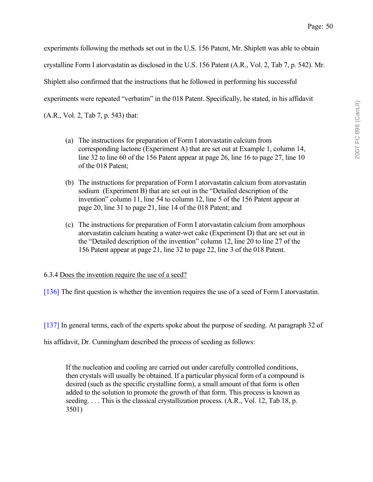experiments following the methods set out in the U.S. 156 Patent, Mr. Shiplett was able to obtain crystalline Form I atorvastatin as disclosed in the U.S. 156 Patent (A.R., Vol. 2, Tab 7, p. 542). Mr. Shiplett also confirmed that the instructions that he followed in performing his successful experiments were repeated "verbatim" in the 018 Patent. Specifically, he stated, in his affidavit (A.R., Vol. 2, Tab 7, p. 543) that:

- (a) The instructions for preparation of Form I atorvastatin calcium from corresponding lactone (Experiment A) that are set out at Example 1, column 14, line 32 to line 60 of the 156 Patent appear at page 26, line 16 to page 27, line 10 of the 018 Patent;
- (b) The instructions for preparation of Form I atorvastatin calcium from atorvastatin sodium (Experiment B) that are set out in the "Detailed description of the invention" column 11, line 54 to column 12, line 5 of the 156 Patent appear at page 20, line 31 to page 21, line 14 of the 018 Patent; and
- (c) The instructions for preparation of Form I atorvastatin calcium from amorphous atorvastatin calcium heating a water-wet cake (Experiment D) that are set out in the "Detailed description of the invention" column 12, line 20 to line 27 of the 156 Patent appear at page 21, line 32 to page 22, line 3 of the 018 Patent.

# 6.3.4 Does the invention require the use of a seed?

[136] The first question is whether the invention requires the use of a seed of Form I atorvastatin.

[137] In general terms, each of the experts spoke about the purpose of seeding. At paragraph 32 of

his affidavit, Dr. Cunningham described the process of seeding as follows:

If the nucleation and cooling are carried out under carefully controlled conditions, then crystals will usually be obtained. If a particular physical form of a compound is desired (such as the specific crystalline form), a small amount of that form is often added to the solution to promote the growth of that form. This process is known as seeding. . . . This is the classical crystallization process. (A.R., Vol. 12, Tab 18, p. 3501)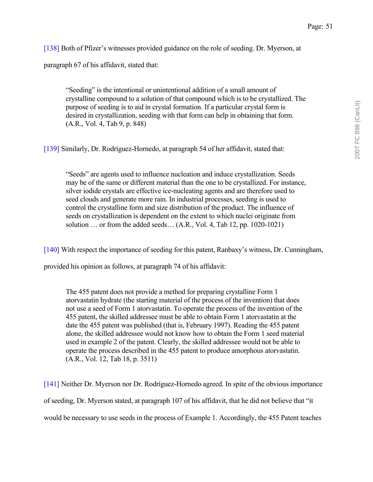[138] Both of Pfizer's witnesses provided guidance on the role of seeding. Dr. Myerson, at

paragraph 67 of his affidavit, stated that:

"Seeding" is the intentional or unintentional addition of a small amount of crystalline compound to a solution of that compound which is to be crystallized. The purpose of seeding is to aid in crystal formation. If a particular crystal form is desired in crystallization, seeding with that form can help in obtaining that form. (A.R., Vol. 4, Tab 9, p. 848)

[139] Similarly, Dr. Rodríguez-Hornedo, at paragraph 54 of her affidavit, stated that:

ìSeedsî are agents used to influence nucleation and induce crystallization. Seeds may be of the same or different material than the one to be crystallized. For instance, silver iodide crystals are effective ice-nucleating agents and are therefore used to seed clouds and generate more rain. In industrial processes, seeding is used to control the crystalline form and size distribution of the product. The influence of seeds on crystallization is dependent on the extent to which nuclei originate from solution  $\ldots$  or from the added seeds...  $(A.R., Vol. 4, Tab 12, pp. 1020-1021)$ 

[140] With respect the importance of seeding for this patent, Ranbaxy's witness, Dr. Cunningham,

provided his opinion as follows, at paragraph 74 of his affidavit:

The 455 patent does not provide a method for preparing crystalline Form 1 atorvastatin hydrate (the starting material of the process of the invention) that does not use a seed of Form 1 atorvastatin. To operate the process of the invention of the 455 patent, the skilled addressee must be able to obtain Form 1 atorvastatin at the date the 455 patent was published (that is, February 1997). Reading the 455 patent alone, the skilled addressee would not know how to obtain the Form 1 seed material used in example 2 of the patent. Clearly, the skilled addressee would not be able to operate the process described in the 455 patent to produce amorphous atorvastatin. (A.R., Vol. 12, Tab 18, p. 3511)

[141] Neither Dr. Myerson nor Dr. Rodríguez-Hornedo agreed. In spite of the obvious importance of seeding, Dr. Myerson stated, at paragraph 107 of his affidavit, that he did not believe that "it" would be necessary to use seeds in the process of Example 1. Accordingly, the 455 Patent teaches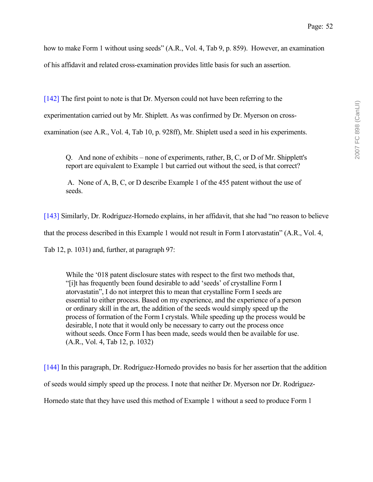how to make Form 1 without using seeds" (A.R., Vol. 4, Tab 9, p. 859). However, an examination of his affidavit and related cross-examination provides little basis for such an assertion.

[142] The first point to note is that Dr. Myerson could not have been referring to the

experimentation carried out by Mr. Shiplett. As was confirmed by Dr. Myerson on cross-

examination (see A.R., Vol. 4, Tab 10, p. 928ff), Mr. Shiplett used a seed in his experiments.

Q. And none of exhibits – none of experiments, rather, B, C, or D of Mr. Shipplett's report are equivalent to Example 1 but carried out without the seed, is that correct?

 A. None of A, B, C, or D describe Example 1 of the 455 patent without the use of seeds.

[143] Similarly, Dr. Rodríguez-Hornedo explains, in her affidavit, that she had "no reason to believe that the process described in this Example 1 would not result in Form I atorvastatin<sup>n</sup> (A.R., Vol. 4, Tab 12, p. 1031) and, further, at paragraph 97:

While the '018 patent disclosure states with respect to the first two methods that, "[i]t has frequently been found desirable to add 'seeds' of crystalline Form I atorvastatinî, I do not interpret this to mean that crystalline Form I seeds are essential to either process. Based on my experience, and the experience of a person or ordinary skill in the art, the addition of the seeds would simply speed up the process of formation of the Form I crystals. While speeding up the process would be desirable, I note that it would only be necessary to carry out the process once without seeds. Once Form I has been made, seeds would then be available for use. (A.R., Vol. 4, Tab 12, p. 1032)

[144] In this paragraph, Dr. Rodríguez-Hornedo provides no basis for her assertion that the addition of seeds would simply speed up the process. I note that neither Dr. Myerson nor Dr. Rodríguez-Hornedo state that they have used this method of Example 1 without a seed to produce Form 1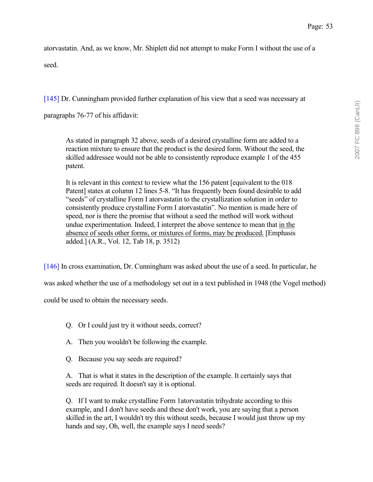atorvastatin. And, as we know, Mr. Shiplett did not attempt to make Form I without the use of a seed.

[145] Dr. Cunningham provided further explanation of his view that a seed was necessary at

paragraphs 76-77 of his affidavit:

As stated in paragraph 32 above, seeds of a desired crystalline form are added to a reaction mixture to ensure that the product is the desired form. Without the seed, the skilled addressee would not be able to consistently reproduce example 1 of the 455 patent.

It is relevant in this context to review what the 156 patent [equivalent to the 018 Patent] states at column 12 lines 5-8. "It has frequently been found desirable to add "seeds" of crystalline Form I atorvastatin to the crystallization solution in order to consistently produce crystalline Form I atorvastatinî. No mention is made here of speed, nor is there the promise that without a seed the method will work without undue experimentation. Indeed, I interpret the above sentence to mean that in the absence of seeds other forms, or mixtures of forms, may be produced. [Emphasis added.] (A.R., Vol. 12, Tab 18, p. 3512)

[146] In cross examination, Dr. Cunningham was asked about the use of a seed. In particular, he

was asked whether the use of a methodology set out in a text published in 1948 (the Vogel method)

could be used to obtain the necessary seeds.

- Q. Or I could just try it without seeds, correct?
- A. Then you wouldn't be following the example.
- Q. Because you say seeds are required?

A. That is what it states in the description of the example. It certainly says that seeds are required. It doesn't say it is optional.

Q. If I want to make crystalline Form 1atorvastatin trihydrate according to this example, and I don't have seeds and these don't work, you are saying that a person skilled in the art, I wouldn't try this without seeds, because I would just throw up my hands and say, Oh, well, the example says I need seeds?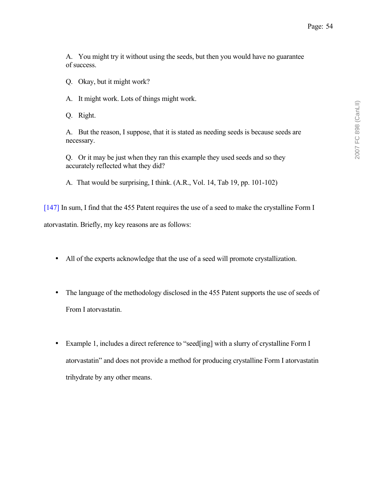A. You might try it without using the seeds, but then you would have no guarantee of success.

Q. Okay, but it might work?

A. It might work. Lots of things might work.

Q. Right.

A. But the reason, I suppose, that it is stated as needing seeds is because seeds are necessary.

Q. Or it may be just when they ran this example they used seeds and so they accurately reflected what they did?

A. That would be surprising, I think. (A.R., Vol. 14, Tab 19, pp. 101-102)

[147] In sum, I find that the 455 Patent requires the use of a seed to make the crystalline Form I atorvastatin. Briefly, my key reasons are as follows:

- All of the experts acknowledge that the use of a seed will promote crystallization.
- The language of the methodology disclosed in the 455 Patent supports the use of seeds of From I atorvastatin.
- Example 1, includes a direct reference to "seed[ing] with a slurry of crystalline Form I atorvastatin" and does not provide a method for producing crystalline Form I atorvastatin trihydrate by any other means.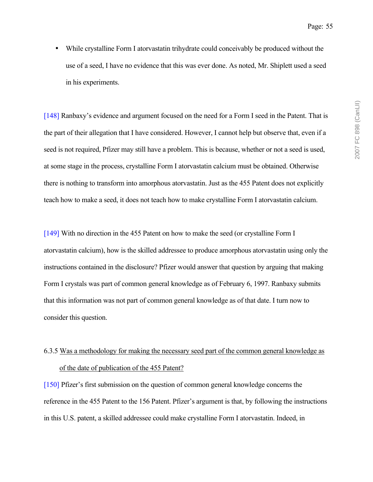• While crystalline Form I atorvastatin trihydrate could conceivably be produced without the use of a seed, I have no evidence that this was ever done. As noted, Mr. Shiplett used a seed in his experiments.

[148] Ranbaxy's evidence and argument focused on the need for a Form I seed in the Patent. That is the part of their allegation that I have considered. However, I cannot help but observe that, even if a seed is not required, Pfizer may still have a problem. This is because, whether or not a seed is used, at some stage in the process, crystalline Form I atorvastatin calcium must be obtained. Otherwise there is nothing to transform into amorphous atorvastatin. Just as the 455 Patent does not explicitly teach how to make a seed, it does not teach how to make crystalline Form I atorvastatin calcium.

[149] With no direction in the 455 Patent on how to make the seed (or crystalline Form I atorvastatin calcium), how is the skilled addressee to produce amorphous atorvastatin using only the instructions contained in the disclosure? Pfizer would answer that question by arguing that making Form I crystals was part of common general knowledge as of February 6, 1997. Ranbaxy submits that this information was not part of common general knowledge as of that date. I turn now to consider this question.

# 6.3.5 Was a methodology for making the necessary seed part of the common general knowledge as of the date of publication of the 455 Patent?

[150] Pfizer's first submission on the question of common general knowledge concerns the reference in the 455 Patent to the 156 Patent. Pfizer's argument is that, by following the instructions in this U.S. patent, a skilled addressee could make crystalline Form I atorvastatin. Indeed, in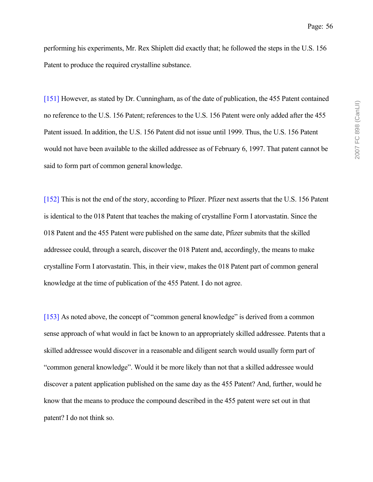performing his experiments, Mr. Rex Shiplett did exactly that; he followed the steps in the U.S. 156 Patent to produce the required crystalline substance.

[151] However, as stated by Dr. Cunningham, as of the date of publication, the 455 Patent contained no reference to the U.S. 156 Patent; references to the U.S. 156 Patent were only added after the 455 Patent issued. In addition, the U.S. 156 Patent did not issue until 1999. Thus, the U.S. 156 Patent would not have been available to the skilled addressee as of February 6, 1997. That patent cannot be said to form part of common general knowledge.

[152] This is not the end of the story, according to Pfizer. Pfizer next asserts that the U.S. 156 Patent is identical to the 018 Patent that teaches the making of crystalline Form I atorvastatin. Since the 018 Patent and the 455 Patent were published on the same date, Pfizer submits that the skilled addressee could, through a search, discover the 018 Patent and, accordingly, the means to make crystalline Form I atorvastatin. This, in their view, makes the 018 Patent part of common general knowledge at the time of publication of the 455 Patent. I do not agree.

[153] As noted above, the concept of "common general knowledge" is derived from a common sense approach of what would in fact be known to an appropriately skilled addressee. Patents that a skilled addressee would discover in a reasonable and diligent search would usually form part of ìcommon general knowledgeî. Would it be more likely than not that a skilled addressee would discover a patent application published on the same day as the 455 Patent? And, further, would he know that the means to produce the compound described in the 455 patent were set out in that patent? I do not think so.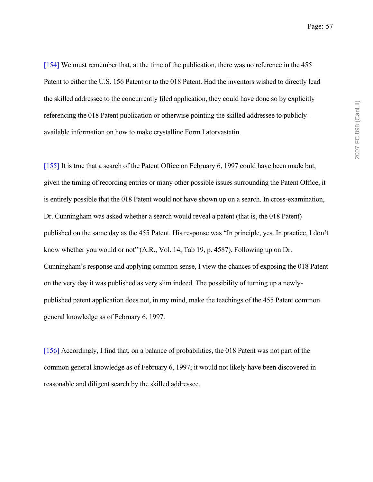[154] We must remember that, at the time of the publication, there was no reference in the 455 Patent to either the U.S. 156 Patent or to the 018 Patent. Had the inventors wished to directly lead the skilled addressee to the concurrently filed application, they could have done so by explicitly referencing the 018 Patent publication or otherwise pointing the skilled addressee to publiclyavailable information on how to make crystalline Form I atorvastatin.

[155] It is true that a search of the Patent Office on February 6, 1997 could have been made but, given the timing of recording entries or many other possible issues surrounding the Patent Office, it is entirely possible that the 018 Patent would not have shown up on a search. In cross-examination, Dr. Cunningham was asked whether a search would reveal a patent (that is, the 018 Patent) published on the same day as the 455 Patent. His response was "In principle, yes. In practice, I don't know whether you would or not" (A.R., Vol. 14, Tab 19, p. 4587). Following up on Dr. Cunninghamís response and applying common sense, I view the chances of exposing the 018 Patent on the very day it was published as very slim indeed. The possibility of turning up a newlypublished patent application does not, in my mind, make the teachings of the 455 Patent common general knowledge as of February 6, 1997.

[156] Accordingly, I find that, on a balance of probabilities, the 018 Patent was not part of the common general knowledge as of February 6, 1997; it would not likely have been discovered in reasonable and diligent search by the skilled addressee.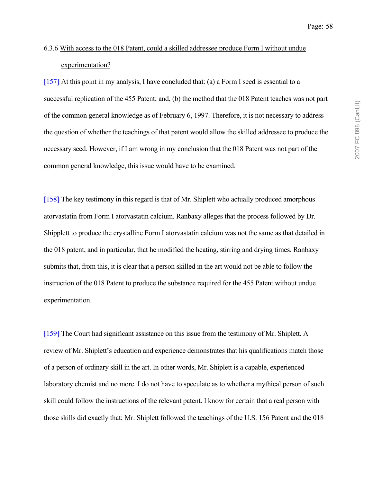# 6.3.6 With access to the 018 Patent, could a skilled addressee produce Form I without undue experimentation?

[157] At this point in my analysis, I have concluded that: (a) a Form I seed is essential to a successful replication of the 455 Patent; and, (b) the method that the 018 Patent teaches was not part of the common general knowledge as of February 6, 1997. Therefore, it is not necessary to address the question of whether the teachings of that patent would allow the skilled addressee to produce the necessary seed. However, if I am wrong in my conclusion that the 018 Patent was not part of the common general knowledge, this issue would have to be examined.

[158] The key testimony in this regard is that of Mr. Shiplett who actually produced amorphous atorvastatin from Form I atorvastatin calcium. Ranbaxy alleges that the process followed by Dr. Shipplett to produce the crystalline Form I atorvastatin calcium was not the same as that detailed in the 018 patent, and in particular, that he modified the heating, stirring and drying times. Ranbaxy submits that, from this, it is clear that a person skilled in the art would not be able to follow the instruction of the 018 Patent to produce the substance required for the 455 Patent without undue experimentation.

[159] The Court had significant assistance on this issue from the testimony of Mr. Shiplett. A review of Mr. Shiplett's education and experience demonstrates that his qualifications match those of a person of ordinary skill in the art. In other words, Mr. Shiplett is a capable, experienced laboratory chemist and no more. I do not have to speculate as to whether a mythical person of such skill could follow the instructions of the relevant patent. I know for certain that a real person with those skills did exactly that; Mr. Shiplett followed the teachings of the U.S. 156 Patent and the 018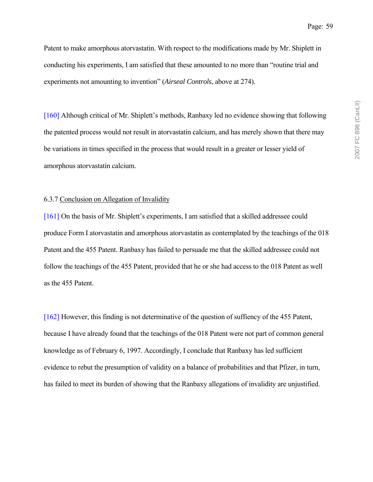Patent to make amorphous atorvastatin. With respect to the modifications made by Mr. Shiplett in conducting his experiments, I am satisfied that these amounted to no more than "routine trial and experiments not amounting to invention" (*Airseal Controls*, above at 274).

[160] Although critical of Mr. Shiplett's methods, Ranbaxy led no evidence showing that following the patented process would not result in atorvastatin calcium, and has merely shown that there may be variations in times specified in the process that would result in a greater or lesser yield of amorphous atorvastatin calcium.

#### 6.3.7 Conclusion on Allegation of Invalidity

[161] On the basis of Mr. Shiplett's experiments, I am satisfied that a skilled addressee could produce Form I atorvastatin and amorphous atorvastatin as contemplated by the teachings of the 018 Patent and the 455 Patent. Ranbaxy has failed to persuade me that the skilled addressee could not follow the teachings of the 455 Patent, provided that he or she had access to the 018 Patent as well as the 455 Patent.

[162] However, this finding is not determinative of the question of suffiency of the 455 Patent, because I have already found that the teachings of the 018 Patent were not part of common general knowledge as of February 6, 1997. Accordingly, I conclude that Ranbaxy has led sufficient evidence to rebut the presumption of validity on a balance of probabilities and that Pfizer, in turn, has failed to meet its burden of showing that the Ranbaxy allegations of invalidity are unjustified.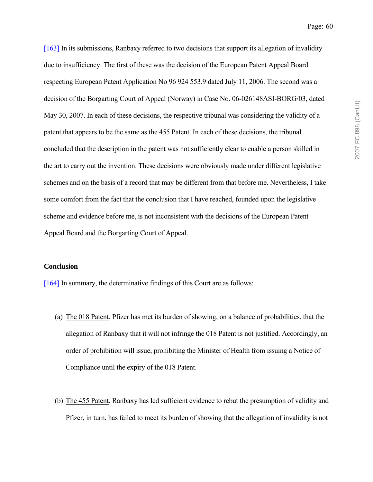[163] In its submissions, Ranbaxy referred to two decisions that support its allegation of invalidity due to insufficiency. The first of these was the decision of the European Patent Appeal Board respecting European Patent Application No 96 924 553.9 dated July 11, 2006. The second was a decision of the Borgarting Court of Appeal (Norway) in Case No. 06-026148ASI-BORG/03, dated May 30, 2007. In each of these decisions, the respective tribunal was considering the validity of a patent that appears to be the same as the 455 Patent. In each of these decisions, the tribunal concluded that the description in the patent was not sufficiently clear to enable a person skilled in the art to carry out the invention. These decisions were obviously made under different legislative schemes and on the basis of a record that may be different from that before me. Nevertheless, I take some comfort from the fact that the conclusion that I have reached, founded upon the legislative scheme and evidence before me, is not inconsistent with the decisions of the European Patent Appeal Board and the Borgarting Court of Appeal.

#### **Conclusion**

[164] In summary, the determinative findings of this Court are as follows:

- (a) The 018 Patent. Pfizer has met its burden of showing, on a balance of probabilities, that the allegation of Ranbaxy that it will not infringe the 018 Patent is not justified. Accordingly, an order of prohibition will issue, prohibiting the Minister of Health from issuing a Notice of Compliance until the expiry of the 018 Patent.
- (b) The 455 Patent. Ranbaxy has led sufficient evidence to rebut the presumption of validity and Pfizer, in turn, has failed to meet its burden of showing that the allegation of invalidity is not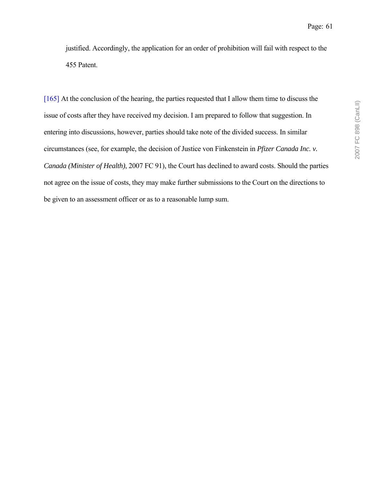justified. Accordingly, the application for an order of prohibition will fail with respect to the 455 Patent.

[165] At the conclusion of the hearing, the parties requested that I allow them time to discuss the issue of costs after they have received my decision. I am prepared to follow that suggestion. In entering into discussions, however, parties should take note of the divided success. In similar circumstances (see, for example, the decision of Justice von Finkenstein in *Pfizer Canada Inc. v. Canada (Minister of Health)*, 2007 FC 91), the Court has declined to award costs. Should the parties not agree on the issue of costs, they may make further submissions to the Court on the directions to be given to an assessment officer or as to a reasonable lump sum.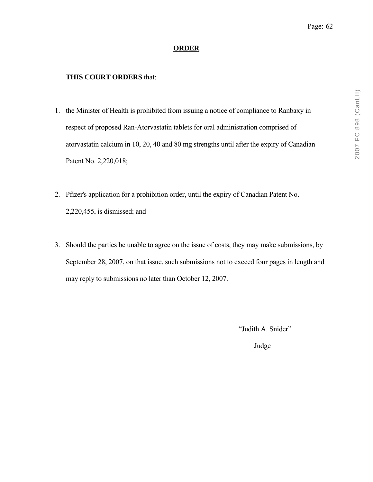# **ORDER**

# **THIS COURT ORDERS** that:

- 1. the Minister of Health is prohibited from issuing a notice of compliance to Ranbaxy in respect of proposed Ran-Atorvastatin tablets for oral administration comprised of atorvastatin calcium in 10, 20, 40 and 80 mg strengths until after the expiry of Canadian Patent No. 2,220,018;
- 2. Pfizer's application for a prohibition order, until the expiry of Canadian Patent No. 2,220,455, is dismissed; and
- 3. Should the parties be unable to agree on the issue of costs, they may make submissions, by September 28, 2007, on that issue, such submissions not to exceed four pages in length and may reply to submissions no later than October 12, 2007.

 $\mathcal{L}_\text{max}$  and  $\mathcal{L}_\text{max}$  and  $\mathcal{L}_\text{max}$  and  $\mathcal{L}_\text{max}$  and  $\mathcal{L}_\text{max}$  and  $\mathcal{L}_\text{max}$ 

"Judith A. Snider"

Judge